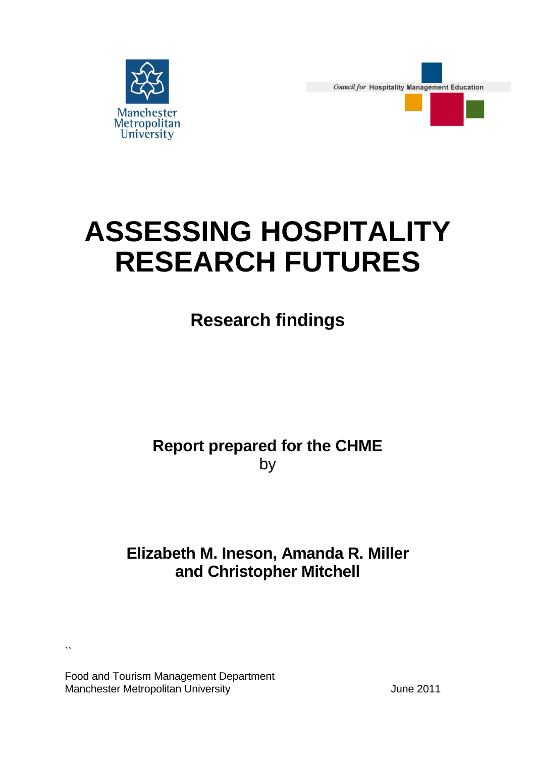

**Council for Hospitality Management Education** 



# **ASSESSING HOSPITALITY RESEARCH FUTURES**

# **Research findings**

# **Report prepared for the CHME**  by

# **Elizabeth M. Ineson, Amanda R. Miller and Christopher Mitchell**

Food and Tourism Management Department Manchester Metropolitan University Manchester Metropolitan University Manchester Music June 2011

 $\lambda$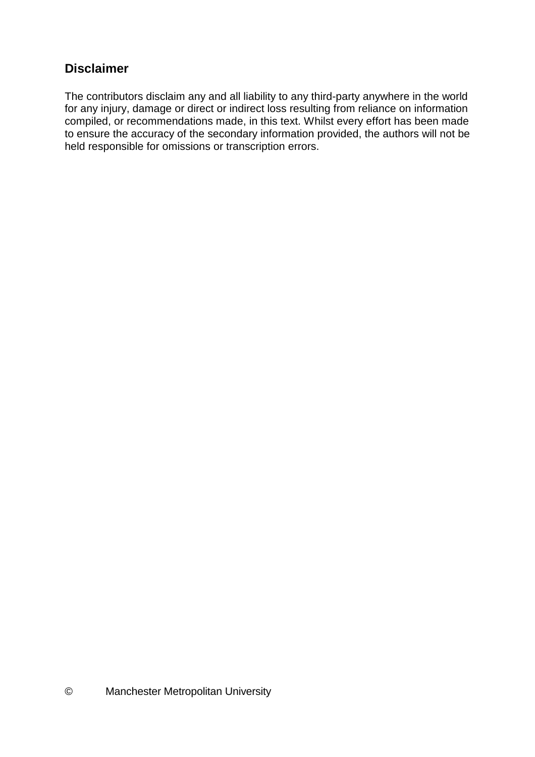## **Disclaimer**

The contributors disclaim any and all liability to any third-party anywhere in the world for any injury, damage or direct or indirect loss resulting from reliance on information compiled, or recommendations made, in this text. Whilst every effort has been made to ensure the accuracy of the secondary information provided, the authors will not be held responsible for omissions or transcription errors.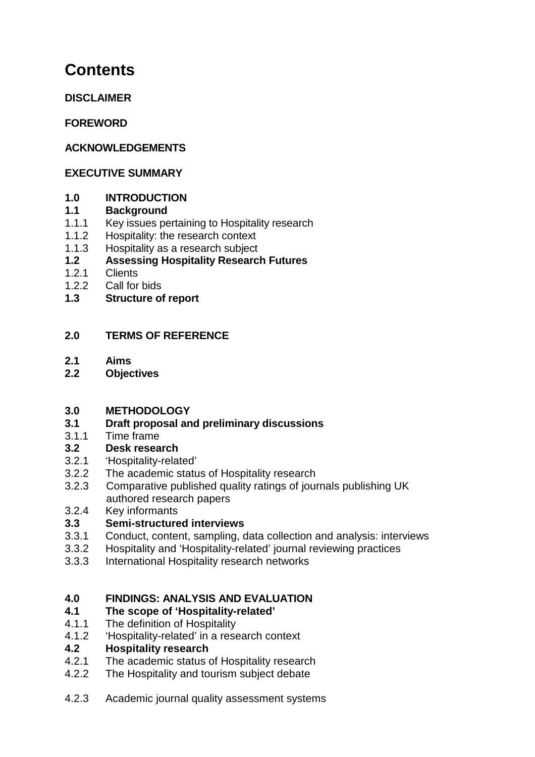# **Contents**

**DISCLAIMER** 

**FOREWORD** 

## **ACKNOWLEDGEMENTS**

#### **EXECUTIVE SUMMARY**

#### **1.0 INTRODUCTION**

#### **1.1 Background**

- 1.1.1 Key issues pertaining to Hospitality research
- 1.1.2 Hospitality: the research context
- 1.1.3 Hospitality as a research subject

## **1.2 Assessing Hospitality Research Futures**

- 1.2.1 Clients
- 1.2.2 Call for bids
- **1.3 Structure of report**

## **2.0 TERMS OF REFERENCE**

- **2.1 Aims**
- **2.2 Objectives**

#### **3.0 METHODOLOGY**

- **3.1 Draft proposal and preliminary discussions**
- 3.1.1 Time frame

#### **3.2 Desk research**

- 3.2.1 'Hospitality-related'
- 3.2.2 The academic status of Hospitality research
- 3.2.3 Comparative published quality ratings of journals publishing UK authored research papers
- 3.2.4 Key informants

## **3.3 Semi-structured interviews**

- 3.3.1 Conduct, content, sampling, data collection and analysis: interviews
- 3.3.2 Hospitality and 'Hospitality-related' journal reviewing practices
- 3.3.3 International Hospitality research networks

#### **4.0 FINDINGS: ANALYSIS AND EVALUATION**

#### **4.1 The scope of 'Hospitality-related'**

- 4.1.1 The definition of Hospitality
- 4.1.2 'Hospitality-related' in a research context

#### **4.2 Hospitality research**

- 4.2.1 The academic status of Hospitality research
- 4.2.2 The Hospitality and tourism subject debate
- 4.2.3 Academic journal quality assessment systems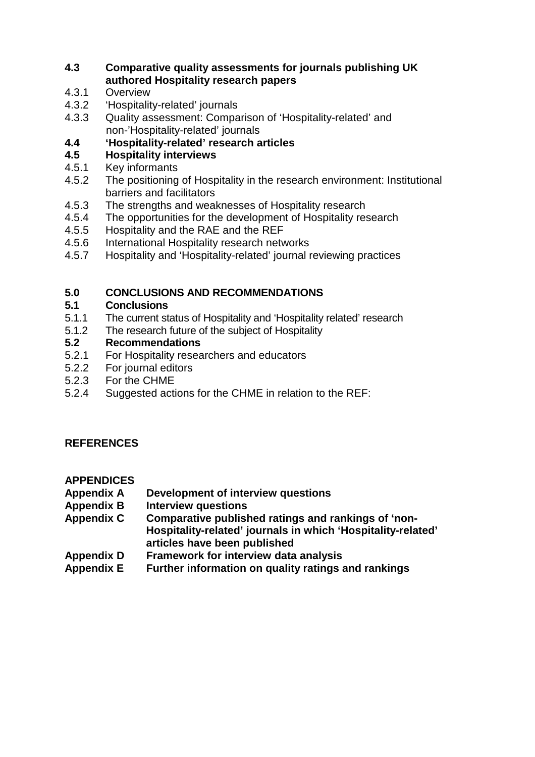#### **4.3 Comparative quality assessments for journals publishing UK authored Hospitality research papers**

- 4.3.1 Overview
- 4.3.2 'Hospitality-related' journals
- 4.3.3 Quality assessment: Comparison of 'Hospitality-related' and non-'Hospitality-related' journals
- **4.4 'Hospitality-related' research articles**
- **4.5 Hospitality interviews**
- 4.5.1 Key informants
- 4.5.2 The positioning of Hospitality in the research environment: Institutional barriers and facilitators
- 4.5.3 The strengths and weaknesses of Hospitality research
- 4.5.4 The opportunities for the development of Hospitality research
- 4.5.5 Hospitality and the RAE and the REF
- 4.5.6 International Hospitality research networks
- 4.5.7 Hospitality and 'Hospitality-related' journal reviewing practices

## **5.0 CONCLUSIONS AND RECOMMENDATIONS**

#### **5.1 Conclusions**

- 5.1.1 The current status of Hospitality and 'Hospitality related' research
- 5.1.2 The research future of the subject of Hospitality

## **5.2 Recommendations**

- 5.2.1 For Hospitality researchers and educators
- 5.2.2 For journal editors
- 5.2.3 For the CHME
- 5.2.4 Suggested actions for the CHME in relation to the REF:

## **REFERENCES**

#### **APPENDICES**

- **Appendix A Development of interview questions**
- **Appendix B Interview questions**
- **Appendix C Comparative published ratings and rankings of 'non-Hospitality-related' journals in which 'Hospitality-related' articles have been published**
- **Appendix D Framework for interview data analysis**
- **Appendix E Further information on quality ratings and rankings**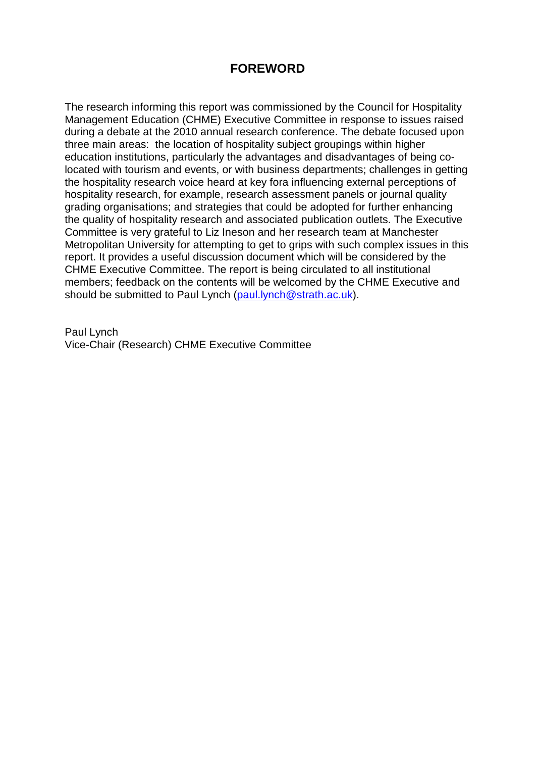## **FOREWORD**

The research informing this report was commissioned by the Council for Hospitality Management Education (CHME) Executive Committee in response to issues raised during a debate at the 2010 annual research conference. The debate focused upon three main areas: the location of hospitality subject groupings within higher education institutions, particularly the advantages and disadvantages of being colocated with tourism and events, or with business departments; challenges in getting the hospitality research voice heard at key fora influencing external perceptions of hospitality research, for example, research assessment panels or journal quality grading organisations; and strategies that could be adopted for further enhancing the quality of hospitality research and associated publication outlets. The Executive Committee is very grateful to Liz Ineson and her research team at Manchester Metropolitan University for attempting to get to grips with such complex issues in this report. It provides a useful discussion document which will be considered by the CHME Executive Committee. The report is being circulated to all institutional members; feedback on the contents will be welcomed by the CHME Executive and should be submitted to Paul Lynch (paul.lynch@strath.ac.uk).

Paul Lynch Vice-Chair (Research) CHME Executive Committee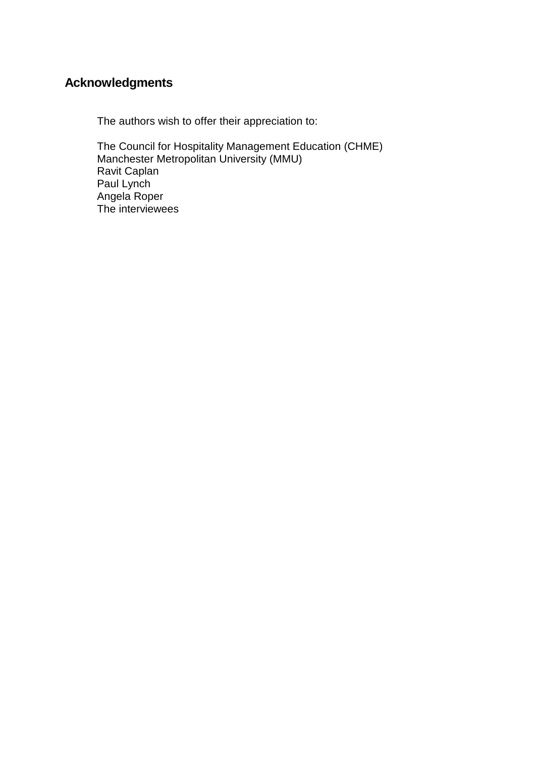## **Acknowledgments**

The authors wish to offer their appreciation to:

The Council for Hospitality Management Education (CHME) Manchester Metropolitan University (MMU) Ravit Caplan Paul Lynch Angela Roper The interviewees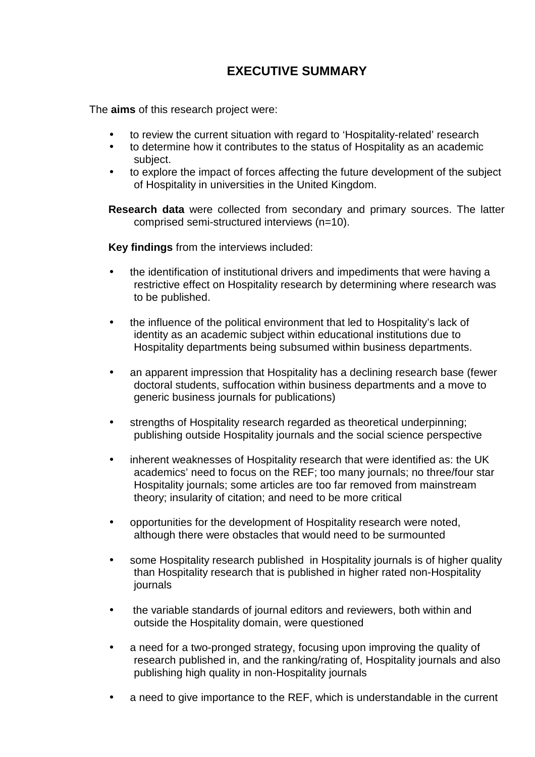# **EXECUTIVE SUMMARY**

The **aims** of this research project were:

- to review the current situation with regard to 'Hospitality-related' research
- to determine how it contributes to the status of Hospitality as an academic subject.
- to explore the impact of forces affecting the future development of the subject of Hospitality in universities in the United Kingdom.

**Research data** were collected from secondary and primary sources. The latter comprised semi-structured interviews (n=10).

**Key findings** from the interviews included:

- the identification of institutional drivers and impediments that were having a restrictive effect on Hospitality research by determining where research was to be published.
- the influence of the political environment that led to Hospitality's lack of identity as an academic subject within educational institutions due to Hospitality departments being subsumed within business departments.
- an apparent impression that Hospitality has a declining research base (fewer doctoral students, suffocation within business departments and a move to generic business journals for publications)
- strengths of Hospitality research regarded as theoretical underpinning; publishing outside Hospitality journals and the social science perspective
- inherent weaknesses of Hospitality research that were identified as: the UK academics' need to focus on the REF; too many journals; no three/four star Hospitality journals; some articles are too far removed from mainstream theory; insularity of citation; and need to be more critical
- opportunities for the development of Hospitality research were noted, although there were obstacles that would need to be surmounted
- some Hospitality research published in Hospitality journals is of higher quality than Hospitality research that is published in higher rated non-Hospitality journals
- the variable standards of journal editors and reviewers, both within and outside the Hospitality domain, were questioned
- a need for a two-pronged strategy, focusing upon improving the quality of research published in, and the ranking/rating of, Hospitality journals and also publishing high quality in non-Hospitality journals
- a need to give importance to the REF, which is understandable in the current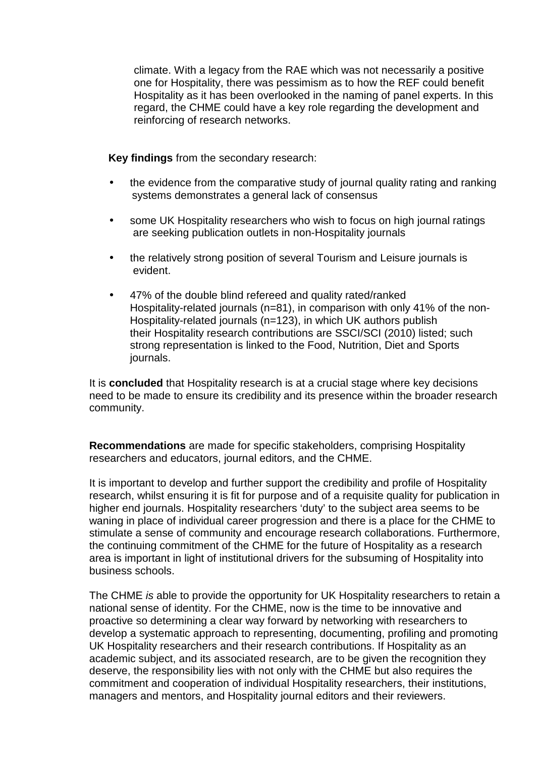climate. With a legacy from the RAE which was not necessarily a positive one for Hospitality, there was pessimism as to how the REF could benefit Hospitality as it has been overlooked in the naming of panel experts. In this regard, the CHME could have a key role regarding the development and reinforcing of research networks.

**Key findings** from the secondary research:

- the evidence from the comparative study of journal quality rating and ranking systems demonstrates a general lack of consensus
- some UK Hospitality researchers who wish to focus on high journal ratings are seeking publication outlets in non-Hospitality journals
- the relatively strong position of several Tourism and Leisure journals is evident.
- 47% of the double blind refereed and quality rated/ranked Hospitality-related journals (n=81), in comparison with only 41% of the non-Hospitality-related journals (n=123), in which UK authors publish their Hospitality research contributions are SSCI/SCI (2010) listed; such strong representation is linked to the Food, Nutrition, Diet and Sports journals.

It is **concluded** that Hospitality research is at a crucial stage where key decisions need to be made to ensure its credibility and its presence within the broader research community.

**Recommendations** are made for specific stakeholders, comprising Hospitality researchers and educators, journal editors, and the CHME.

It is important to develop and further support the credibility and profile of Hospitality research, whilst ensuring it is fit for purpose and of a requisite quality for publication in higher end journals. Hospitality researchers 'duty' to the subject area seems to be waning in place of individual career progression and there is a place for the CHME to stimulate a sense of community and encourage research collaborations. Furthermore, the continuing commitment of the CHME for the future of Hospitality as a research area is important in light of institutional drivers for the subsuming of Hospitality into business schools.

The CHME is able to provide the opportunity for UK Hospitality researchers to retain a national sense of identity. For the CHME, now is the time to be innovative and proactive so determining a clear way forward by networking with researchers to develop a systematic approach to representing, documenting, profiling and promoting UK Hospitality researchers and their research contributions. If Hospitality as an academic subject, and its associated research, are to be given the recognition they deserve, the responsibility lies with not only with the CHME but also requires the commitment and cooperation of individual Hospitality researchers, their institutions, managers and mentors, and Hospitality journal editors and their reviewers.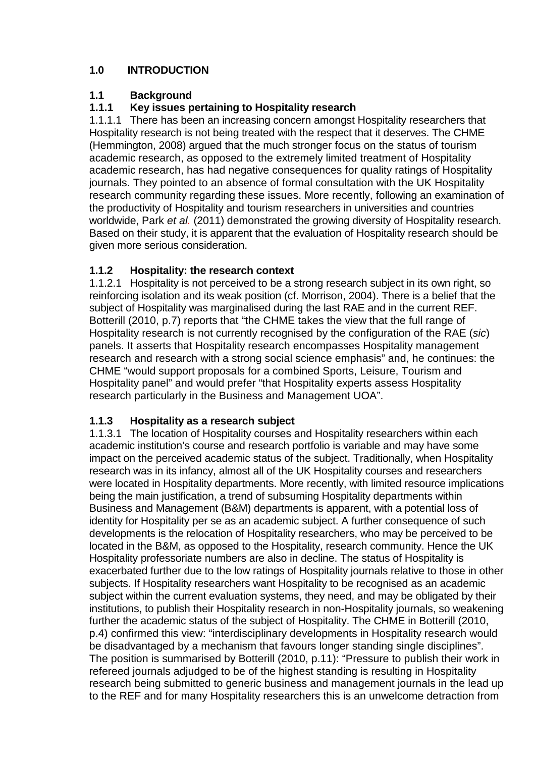## **1.0 INTRODUCTION**

## **1.1 Background**

## **1.1.1 Key issues pertaining to Hospitality research**

1.1.1.1 There has been an increasing concern amongst Hospitality researchers that Hospitality research is not being treated with the respect that it deserves. The CHME (Hemmington, 2008) argued that the much stronger focus on the status of tourism academic research, as opposed to the extremely limited treatment of Hospitality academic research, has had negative consequences for quality ratings of Hospitality journals. They pointed to an absence of formal consultation with the UK Hospitality research community regarding these issues. More recently, following an examination of the productivity of Hospitality and tourism researchers in universities and countries worldwide, Park et al. (2011) demonstrated the growing diversity of Hospitality research. Based on their study, it is apparent that the evaluation of Hospitality research should be given more serious consideration.

## **1.1.2 Hospitality: the research context**

1.1.2.1 Hospitality is not perceived to be a strong research subject in its own right, so reinforcing isolation and its weak position (cf. Morrison, 2004). There is a belief that the subject of Hospitality was marginalised during the last RAE and in the current REF. Botterill (2010, p.7) reports that "the CHME takes the view that the full range of Hospitality research is not currently recognised by the configuration of the RAE (sic) panels. It asserts that Hospitality research encompasses Hospitality management research and research with a strong social science emphasis" and, he continues: the CHME "would support proposals for a combined Sports, Leisure, Tourism and Hospitality panel" and would prefer "that Hospitality experts assess Hospitality research particularly in the Business and Management UOA".

## **1.1.3 Hospitality as a research subject**

1.1.3.1 The location of Hospitality courses and Hospitality researchers within each academic institution's course and research portfolio is variable and may have some impact on the perceived academic status of the subject. Traditionally, when Hospitality research was in its infancy, almost all of the UK Hospitality courses and researchers were located in Hospitality departments. More recently, with limited resource implications being the main justification, a trend of subsuming Hospitality departments within Business and Management (B&M) departments is apparent, with a potential loss of identity for Hospitality per se as an academic subject. A further consequence of such developments is the relocation of Hospitality researchers, who may be perceived to be located in the B&M, as opposed to the Hospitality, research community. Hence the UK Hospitality professoriate numbers are also in decline. The status of Hospitality is exacerbated further due to the low ratings of Hospitality journals relative to those in other subjects. If Hospitality researchers want Hospitality to be recognised as an academic subject within the current evaluation systems, they need, and may be obligated by their institutions, to publish their Hospitality research in non-Hospitality journals, so weakening further the academic status of the subject of Hospitality. The CHME in Botterill (2010, p.4) confirmed this view: "interdisciplinary developments in Hospitality research would be disadvantaged by a mechanism that favours longer standing single disciplines". The position is summarised by Botterill (2010, p.11): "Pressure to publish their work in refereed journals adjudged to be of the highest standing is resulting in Hospitality research being submitted to generic business and management journals in the lead up to the REF and for many Hospitality researchers this is an unwelcome detraction from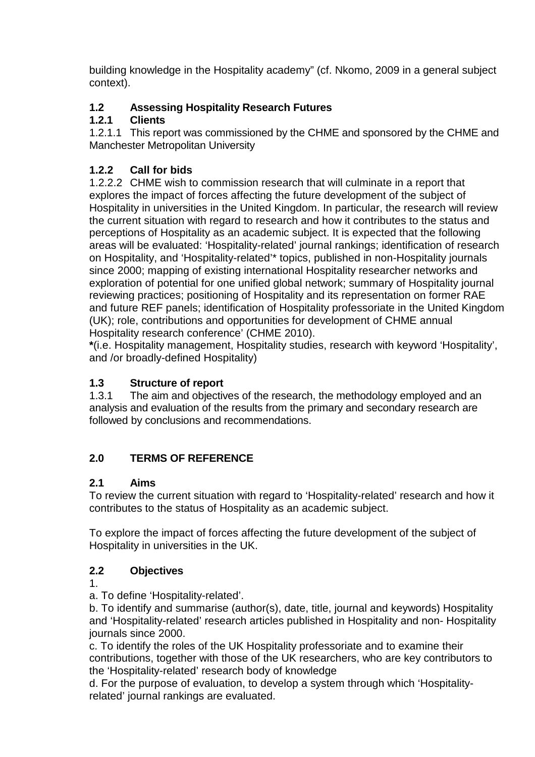building knowledge in the Hospitality academy" (cf. Nkomo, 2009 in a general subject context).

## **1.2 Assessing Hospitality Research Futures**

## **1.2.1 Clients**

1.2.1.1 This report was commissioned by the CHME and sponsored by the CHME and Manchester Metropolitan University

## **1.2.2 Call for bids**

1.2.2.2 CHME wish to commission research that will culminate in a report that explores the impact of forces affecting the future development of the subject of Hospitality in universities in the United Kingdom. In particular, the research will review the current situation with regard to research and how it contributes to the status and perceptions of Hospitality as an academic subject. It is expected that the following areas will be evaluated: 'Hospitality-related' journal rankings; identification of research on Hospitality, and 'Hospitality-related'\* topics, published in non-Hospitality journals since 2000; mapping of existing international Hospitality researcher networks and exploration of potential for one unified global network; summary of Hospitality journal reviewing practices; positioning of Hospitality and its representation on former RAE and future REF panels; identification of Hospitality professoriate in the United Kingdom (UK); role, contributions and opportunities for development of CHME annual Hospitality research conference' (CHME 2010).

**\***(i.e. Hospitality management, Hospitality studies, research with keyword 'Hospitality', and /or broadly-defined Hospitality)

## **1.3 Structure of report**

1.3.1 The aim and objectives of the research, the methodology employed and an analysis and evaluation of the results from the primary and secondary research are followed by conclusions and recommendations.

## **2.0 TERMS OF REFERENCE**

#### **2.1 Aims**

To review the current situation with regard to 'Hospitality-related' research and how it contributes to the status of Hospitality as an academic subject.

To explore the impact of forces affecting the future development of the subject of Hospitality in universities in the UK.

## **2.2 Objectives**

1.

a. To define 'Hospitality-related'.

b. To identify and summarise (author(s), date, title, journal and keywords) Hospitality and 'Hospitality-related' research articles published in Hospitality and non- Hospitality journals since 2000.

c. To identify the roles of the UK Hospitality professoriate and to examine their contributions, together with those of the UK researchers, who are key contributors to the 'Hospitality-related' research body of knowledge

d. For the purpose of evaluation, to develop a system through which 'Hospitalityrelated' journal rankings are evaluated.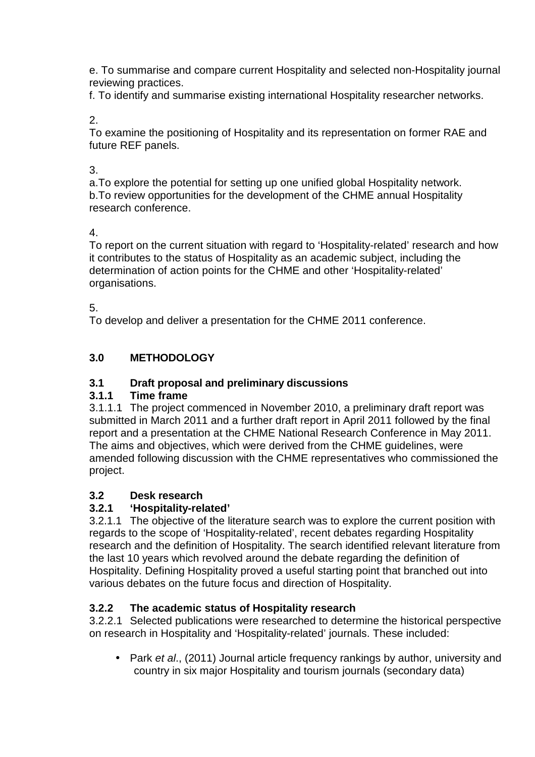e. To summarise and compare current Hospitality and selected non-Hospitality journal reviewing practices.

f. To identify and summarise existing international Hospitality researcher networks.

2.

To examine the positioning of Hospitality and its representation on former RAE and future REF panels.

## 3.

a.To explore the potential for setting up one unified global Hospitality network. b.To review opportunities for the development of the CHME annual Hospitality research conference.

## 4.

To report on the current situation with regard to 'Hospitality-related' research and how it contributes to the status of Hospitality as an academic subject, including the determination of action points for the CHME and other 'Hospitality-related' organisations.

## 5.

To develop and deliver a presentation for the CHME 2011 conference.

## **3.0 METHODOLOGY**

## **3.1 Draft proposal and preliminary discussions**

## **3.1.1 Time frame**

3.1.1.1 The project commenced in November 2010, a preliminary draft report was submitted in March 2011 and a further draft report in April 2011 followed by the final report and a presentation at the CHME National Research Conference in May 2011. The aims and objectives, which were derived from the CHME guidelines, were amended following discussion with the CHME representatives who commissioned the project.

## **3.2 Desk research**

## **3.2.1 'Hospitality-related'**

3.2.1.1 The objective of the literature search was to explore the current position with regards to the scope of 'Hospitality-related', recent debates regarding Hospitality research and the definition of Hospitality. The search identified relevant literature from the last 10 years which revolved around the debate regarding the definition of Hospitality. Defining Hospitality proved a useful starting point that branched out into various debates on the future focus and direction of Hospitality.

## **3.2.2 The academic status of Hospitality research**

3.2.2.1 Selected publications were researched to determine the historical perspective on research in Hospitality and 'Hospitality-related' journals. These included:

• Park et al., (2011) Journal article frequency rankings by author, university and country in six major Hospitality and tourism journals (secondary data)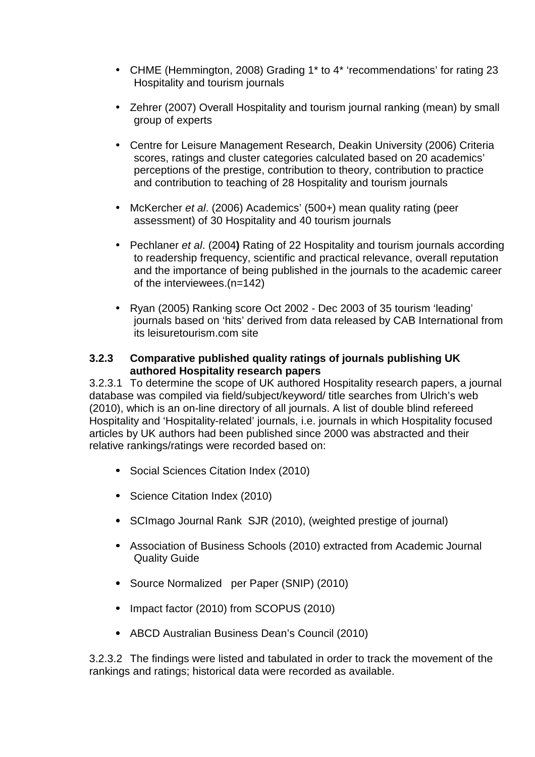- CHME (Hemmington, 2008) Grading 1\* to 4\* 'recommendations' for rating 23 Hospitality and tourism journals
- Zehrer (2007) Overall Hospitality and tourism journal ranking (mean) by small group of experts
- Centre for Leisure Management Research, Deakin University (2006) Criteria scores, ratings and cluster categories calculated based on 20 academics' perceptions of the prestige, contribution to theory, contribution to practice and contribution to teaching of 28 Hospitality and tourism journals
- McKercher et al. (2006) Academics' (500+) mean quality rating (peer assessment) of 30 Hospitality and 40 tourism journals
- Pechlaner et al. (2004**)** Rating of 22 Hospitality and tourism journals according to readership frequency, scientific and practical relevance, overall reputation and the importance of being published in the journals to the academic career of the interviewees.(n=142)
- Ryan (2005) Ranking score Oct 2002 Dec 2003 of 35 tourism 'leading' journals based on 'hits' derived from data released by CAB International from its leisuretourism.com site

#### **3.2.3 Comparative published quality ratings of journals publishing UK authored Hospitality research papers**

3.2.3.1 To determine the scope of UK authored Hospitality research papers, a journal database was compiled via field/subject/keyword/ title searches from Ulrich's web (2010), which is an on-line directory of all journals. A list of double blind refereed Hospitality and 'Hospitality-related' journals, i.e. journals in which Hospitality focused articles by UK authors had been published since 2000 was abstracted and their relative rankings/ratings were recorded based on:

- Social Sciences Citation Index (2010)
- Science Citation Index (2010)
- SCImago Journal Rank SJR (2010), (weighted prestige of journal)
- Association of Business Schools (2010) extracted from Academic Journal Quality Guide
- Source Normalized per Paper (SNIP) (2010)
- Impact factor (2010) from SCOPUS (2010)
- ABCD Australian Business Dean's Council (2010)

3.2.3.2 The findings were listed and tabulated in order to track the movement of the rankings and ratings; historical data were recorded as available.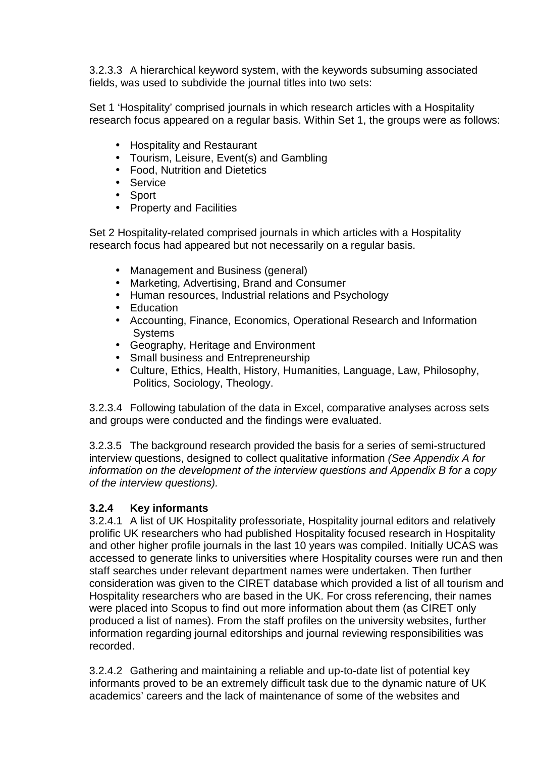3.2.3.3 A hierarchical keyword system, with the keywords subsuming associated fields, was used to subdivide the journal titles into two sets:

Set 1 'Hospitality' comprised journals in which research articles with a Hospitality research focus appeared on a regular basis. Within Set 1, the groups were as follows:

- Hospitality and Restaurant
- Tourism, Leisure, Event(s) and Gambling
- Food, Nutrition and Dietetics
- Service
- Sport
- Property and Facilities

Set 2 Hospitality-related comprised journals in which articles with a Hospitality research focus had appeared but not necessarily on a regular basis.

- Management and Business (general)
- Marketing, Advertising, Brand and Consumer
- Human resources, Industrial relations and Psychology
- Education
- Accounting, Finance, Economics, Operational Research and Information **Systems**
- Geography, Heritage and Environment
- Small business and Entrepreneurship
- Culture, Ethics, Health, History, Humanities, Language, Law, Philosophy, Politics, Sociology, Theology.

3.2.3.4 Following tabulation of the data in Excel, comparative analyses across sets and groups were conducted and the findings were evaluated.

3.2.3.5 The background research provided the basis for a series of semi-structured interview questions, designed to collect qualitative information (See Appendix A for information on the development of the interview questions and Appendix B for a copy of the interview questions).

#### **3.2.4 Key informants**

3.2.4.1 A list of UK Hospitality professoriate, Hospitality journal editors and relatively prolific UK researchers who had published Hospitality focused research in Hospitality and other higher profile journals in the last 10 years was compiled. Initially UCAS was accessed to generate links to universities where Hospitality courses were run and then staff searches under relevant department names were undertaken. Then further consideration was given to the CIRET database which provided a list of all tourism and Hospitality researchers who are based in the UK. For cross referencing, their names were placed into Scopus to find out more information about them (as CIRET only produced a list of names). From the staff profiles on the university websites, further information regarding journal editorships and journal reviewing responsibilities was recorded.

3.2.4.2 Gathering and maintaining a reliable and up-to-date list of potential key informants proved to be an extremely difficult task due to the dynamic nature of UK academics' careers and the lack of maintenance of some of the websites and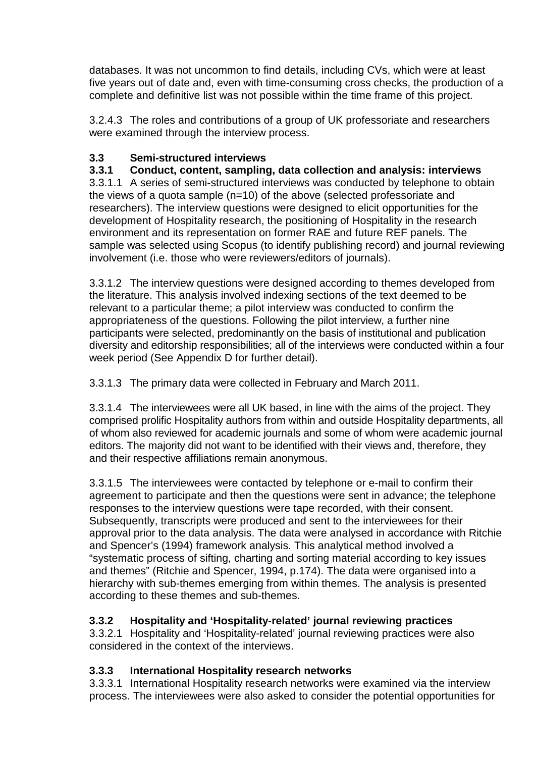databases. It was not uncommon to find details, including CVs, which were at least five years out of date and, even with time-consuming cross checks, the production of a complete and definitive list was not possible within the time frame of this project.

3.2.4.3 The roles and contributions of a group of UK professoriate and researchers were examined through the interview process.

## **3.3 Semi-structured interviews**

## **3.3.1 Conduct, content, sampling, data collection and analysis: interviews**

3.3.1.1 A series of semi-structured interviews was conducted by telephone to obtain the views of a quota sample (n=10) of the above (selected professoriate and researchers). The interview questions were designed to elicit opportunities for the development of Hospitality research, the positioning of Hospitality in the research environment and its representation on former RAE and future REF panels. The sample was selected using Scopus (to identify publishing record) and journal reviewing involvement (i.e. those who were reviewers/editors of journals).

3.3.1.2 The interview questions were designed according to themes developed from the literature. This analysis involved indexing sections of the text deemed to be relevant to a particular theme; a pilot interview was conducted to confirm the appropriateness of the questions. Following the pilot interview, a further nine participants were selected, predominantly on the basis of institutional and publication diversity and editorship responsibilities; all of the interviews were conducted within a four week period (See Appendix D for further detail).

3.3.1.3 The primary data were collected in February and March 2011.

3.3.1.4 The interviewees were all UK based, in line with the aims of the project. They comprised prolific Hospitality authors from within and outside Hospitality departments, all of whom also reviewed for academic journals and some of whom were academic journal editors. The majority did not want to be identified with their views and, therefore, they and their respective affiliations remain anonymous.

3.3.1.5 The interviewees were contacted by telephone or e-mail to confirm their agreement to participate and then the questions were sent in advance; the telephone responses to the interview questions were tape recorded, with their consent. Subsequently, transcripts were produced and sent to the interviewees for their approval prior to the data analysis. The data were analysed in accordance with Ritchie and Spencer's (1994) framework analysis. This analytical method involved a "systematic process of sifting, charting and sorting material according to key issues and themes" (Ritchie and Spencer, 1994, p.174). The data were organised into a hierarchy with sub-themes emerging from within themes. The analysis is presented according to these themes and sub-themes.

## **3.3.2 Hospitality and 'Hospitality-related' journal reviewing practices**

3.3.2.1 Hospitality and 'Hospitality-related' journal reviewing practices were also considered in the context of the interviews.

## **3.3.3 International Hospitality research networks**

3.3.3.1 International Hospitality research networks were examined via the interview process. The interviewees were also asked to consider the potential opportunities for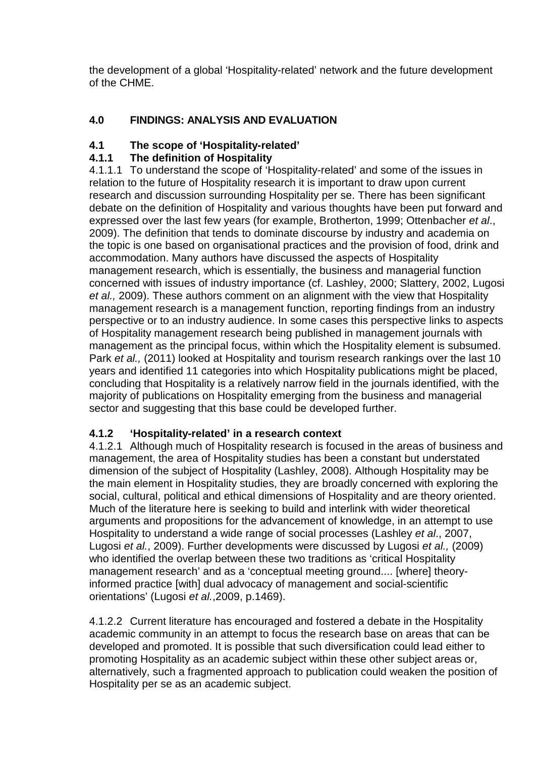the development of a global 'Hospitality-related' network and the future development of the CHME.

## **4.0 FINDINGS: ANALYSIS AND EVALUATION**

#### **4.1 The scope of 'Hospitality-related'**

## **4.1.1 The definition of Hospitality**

4.1.1.1 To understand the scope of 'Hospitality-related' and some of the issues in relation to the future of Hospitality research it is important to draw upon current research and discussion surrounding Hospitality per se. There has been significant debate on the definition of Hospitality and various thoughts have been put forward and expressed over the last few years (for example, Brotherton, 1999; Ottenbacher et al., 2009). The definition that tends to dominate discourse by industry and academia on the topic is one based on organisational practices and the provision of food, drink and accommodation. Many authors have discussed the aspects of Hospitality management research, which is essentially, the business and managerial function concerned with issues of industry importance (cf. Lashley, 2000; Slattery, 2002, Lugosi et al., 2009). These authors comment on an alignment with the view that Hospitality management research is a management function, reporting findings from an industry perspective or to an industry audience. In some cases this perspective links to aspects of Hospitality management research being published in management journals with management as the principal focus, within which the Hospitality element is subsumed. Park et al., (2011) looked at Hospitality and tourism research rankings over the last 10 years and identified 11 categories into which Hospitality publications might be placed, concluding that Hospitality is a relatively narrow field in the journals identified, with the majority of publications on Hospitality emerging from the business and managerial sector and suggesting that this base could be developed further.

#### **4.1.2 'Hospitality-related' in a research context**

4.1.2.1 Although much of Hospitality research is focused in the areas of business and management, the area of Hospitality studies has been a constant but understated dimension of the subject of Hospitality (Lashley, 2008). Although Hospitality may be the main element in Hospitality studies, they are broadly concerned with exploring the social, cultural, political and ethical dimensions of Hospitality and are theory oriented. Much of the literature here is seeking to build and interlink with wider theoretical arguments and propositions for the advancement of knowledge, in an attempt to use Hospitality to understand a wide range of social processes (Lashley et al., 2007, Lugosi et al., 2009). Further developments were discussed by Lugosi et al., (2009) who identified the overlap between these two traditions as 'critical Hospitality management research' and as a 'conceptual meeting ground.... [where] theoryinformed practice [with] dual advocacy of management and social-scientific orientations' (Lugosi et al.,2009, p.1469).

4.1.2.2 Current literature has encouraged and fostered a debate in the Hospitality academic community in an attempt to focus the research base on areas that can be developed and promoted. It is possible that such diversification could lead either to promoting Hospitality as an academic subject within these other subject areas or, alternatively, such a fragmented approach to publication could weaken the position of Hospitality per se as an academic subject.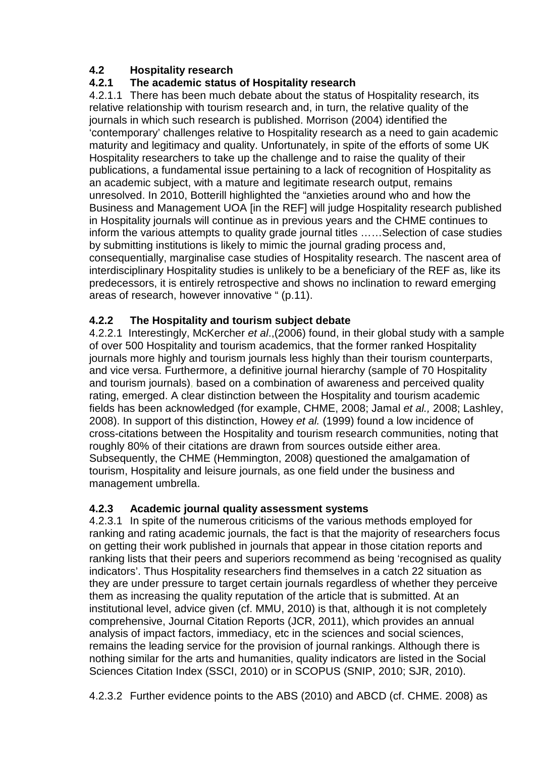## **4.2 Hospitality research**

## **4.2.1 The academic status of Hospitality research**

4.2.1.1 There has been much debate about the status of Hospitality research, its relative relationship with tourism research and, in turn, the relative quality of the journals in which such research is published. Morrison (2004) identified the 'contemporary' challenges relative to Hospitality research as a need to gain academic maturity and legitimacy and quality. Unfortunately, in spite of the efforts of some UK Hospitality researchers to take up the challenge and to raise the quality of their publications, a fundamental issue pertaining to a lack of recognition of Hospitality as an academic subject, with a mature and legitimate research output, remains unresolved. In 2010, Botterill highlighted the "anxieties around who and how the Business and Management UOA [in the REF] will judge Hospitality research published in Hospitality journals will continue as in previous years and the CHME continues to inform the various attempts to quality grade journal titles ……Selection of case studies by submitting institutions is likely to mimic the journal grading process and, consequentially, marginalise case studies of Hospitality research. The nascent area of interdisciplinary Hospitality studies is unlikely to be a beneficiary of the REF as, like its predecessors, it is entirely retrospective and shows no inclination to reward emerging areas of research, however innovative " (p.11).

## **4.2.2 The Hospitality and tourism subject debate**

4.2.2.1 Interestingly, McKercher et al.,(2006) found, in their global study with a sample of over 500 Hospitality and tourism academics, that the former ranked Hospitality journals more highly and tourism journals less highly than their tourism counterparts, and vice versa. Furthermore, a definitive journal hierarchy (sample of 70 Hospitality and tourism journals), based on a combination of awareness and perceived quality rating, emerged. A clear distinction between the Hospitality and tourism academic fields has been acknowledged (for example, CHME, 2008; Jamal et al., 2008; Lashley, 2008). In support of this distinction, Howey et al. (1999) found a low incidence of cross-citations between the Hospitality and tourism research communities, noting that roughly 80% of their citations are drawn from sources outside either area. Subsequently, the CHME (Hemmington, 2008) questioned the amalgamation of tourism, Hospitality and leisure journals, as one field under the business and management umbrella.

#### **4.2.3 Academic journal quality assessment systems**

4.2.3.1 In spite of the numerous criticisms of the various methods employed for ranking and rating academic journals, the fact is that the majority of researchers focus on getting their work published in journals that appear in those citation reports and ranking lists that their peers and superiors recommend as being 'recognised as quality indicators'. Thus Hospitality researchers find themselves in a catch 22 situation as they are under pressure to target certain journals regardless of whether they perceive them as increasing the quality reputation of the article that is submitted. At an institutional level, advice given (cf. MMU, 2010) is that, although it is not completely comprehensive, Journal Citation Reports (JCR, 2011), which provides an annual analysis of impact factors, immediacy, etc in the sciences and social sciences, remains the leading service for the provision of journal rankings. Although there is nothing similar for the arts and humanities, quality indicators are listed in the Social Sciences Citation Index (SSCI, 2010) or in SCOPUS (SNIP, 2010; SJR, 2010).

4.2.3.2 Further evidence points to the ABS (2010) and ABCD (cf. CHME. 2008) as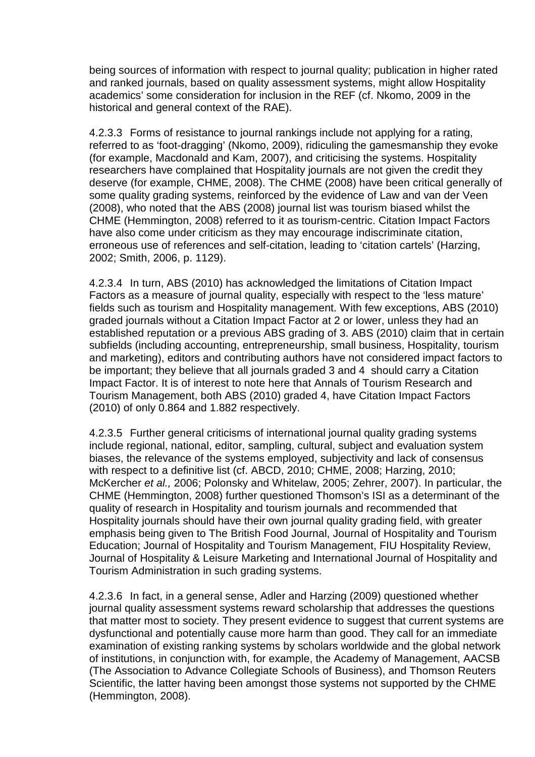being sources of information with respect to journal quality; publication in higher rated and ranked journals, based on quality assessment systems, might allow Hospitality academics' some consideration for inclusion in the REF (cf. Nkomo, 2009 in the historical and general context of the RAE).

4.2.3.3 Forms of resistance to journal rankings include not applying for a rating, referred to as 'foot-dragging' (Nkomo, 2009), ridiculing the gamesmanship they evoke (for example, Macdonald and Kam, 2007), and criticising the systems. Hospitality researchers have complained that Hospitality journals are not given the credit they deserve (for example, CHME, 2008). The CHME (2008) have been critical generally of some quality grading systems, reinforced by the evidence of Law and van der Veen (2008), who noted that the ABS (2008) journal list was tourism biased whilst the CHME (Hemmington, 2008) referred to it as tourism-centric. Citation Impact Factors have also come under criticism as they may encourage indiscriminate citation, erroneous use of references and self-citation, leading to 'citation cartels' (Harzing, 2002; Smith, 2006, p. 1129).

4.2.3.4 In turn, ABS (2010) has acknowledged the limitations of Citation Impact Factors as a measure of journal quality, especially with respect to the 'less mature' fields such as tourism and Hospitality management. With few exceptions, ABS (2010) graded journals without a Citation Impact Factor at 2 or lower, unless they had an established reputation or a previous ABS grading of 3. ABS (2010) claim that in certain subfields (including accounting, entrepreneurship, small business, Hospitality, tourism and marketing), editors and contributing authors have not considered impact factors to be important; they believe that all journals graded 3 and 4 should carry a Citation Impact Factor. It is of interest to note here that Annals of Tourism Research and Tourism Management, both ABS (2010) graded 4, have Citation Impact Factors (2010) of only 0.864 and 1.882 respectively.

4.2.3.5 Further general criticisms of international journal quality grading systems include regional, national, editor, sampling, cultural, subject and evaluation system biases, the relevance of the systems employed, subjectivity and lack of consensus with respect to a definitive list (cf. ABCD, 2010; CHME, 2008; Harzing, 2010; McKercher et al., 2006; Polonsky and Whitelaw, 2005; Zehrer, 2007). In particular, the CHME (Hemmington, 2008) further questioned Thomson's ISI as a determinant of the quality of research in Hospitality and tourism journals and recommended that Hospitality journals should have their own journal quality grading field, with greater emphasis being given to The British Food Journal, Journal of Hospitality and Tourism Education; Journal of Hospitality and Tourism Management, FIU Hospitality Review, Journal of Hospitality & Leisure Marketing and International Journal of Hospitality and Tourism Administration in such grading systems.

4.2.3.6 In fact, in a general sense, Adler and Harzing (2009) questioned whether journal quality assessment systems reward scholarship that addresses the questions that matter most to society. They present evidence to suggest that current systems are dysfunctional and potentially cause more harm than good. They call for an immediate examination of existing ranking systems by scholars worldwide and the global network of institutions, in conjunction with, for example, the Academy of Management, AACSB (The Association to Advance Collegiate Schools of Business), and Thomson Reuters Scientific, the latter having been amongst those systems not supported by the CHME (Hemmington, 2008).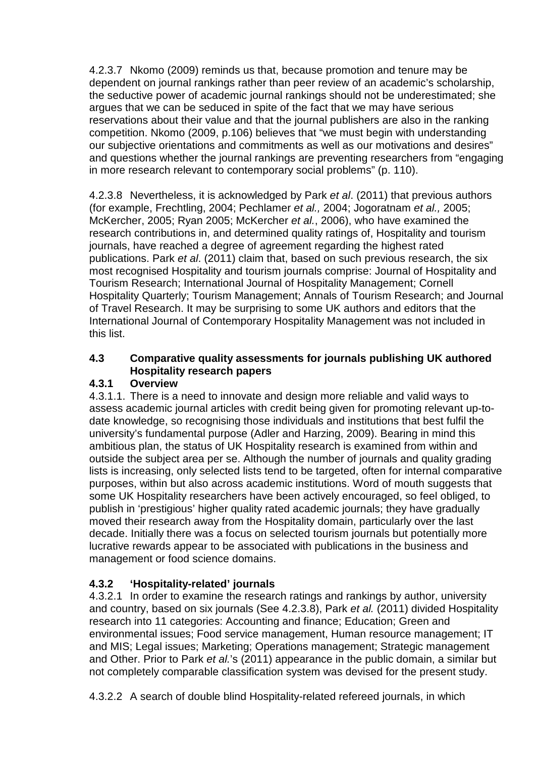4.2.3.7 Nkomo (2009) reminds us that, because promotion and tenure may be dependent on journal rankings rather than peer review of an academic's scholarship, the seductive power of academic journal rankings should not be underestimated; she argues that we can be seduced in spite of the fact that we may have serious reservations about their value and that the journal publishers are also in the ranking competition. Nkomo (2009, p.106) believes that "we must begin with understanding our subjective orientations and commitments as well as our motivations and desires" and questions whether the journal rankings are preventing researchers from "engaging in more research relevant to contemporary social problems" (p. 110).

4.2.3.8 Nevertheless, it is acknowledged by Park et al. (2011) that previous authors (for example, Frechtling, 2004; Pechlamer et al., 2004; Jogoratnam et al., 2005; McKercher, 2005; Ryan 2005; McKercher et al., 2006), who have examined the research contributions in, and determined quality ratings of, Hospitality and tourism journals, have reached a degree of agreement regarding the highest rated publications. Park et al. (2011) claim that, based on such previous research, the six most recognised Hospitality and tourism journals comprise: Journal of Hospitality and Tourism Research; International Journal of Hospitality Management; Cornell Hospitality Quarterly; Tourism Management; Annals of Tourism Research; and Journal of Travel Research. It may be surprising to some UK authors and editors that the International Journal of Contemporary Hospitality Management was not included in this list.

## **4.3 Comparative quality assessments for journals publishing UK authored Hospitality research papers**

## **4.3.1 Overview**

4.3.1.1. There is a need to innovate and design more reliable and valid ways to assess academic journal articles with credit being given for promoting relevant up-todate knowledge, so recognising those individuals and institutions that best fulfil the university's fundamental purpose (Adler and Harzing, 2009). Bearing in mind this ambitious plan, the status of UK Hospitality research is examined from within and outside the subject area per se. Although the number of journals and quality grading lists is increasing, only selected lists tend to be targeted, often for internal comparative purposes, within but also across academic institutions. Word of mouth suggests that some UK Hospitality researchers have been actively encouraged, so feel obliged, to publish in 'prestigious' higher quality rated academic journals; they have gradually moved their research away from the Hospitality domain, particularly over the last decade. Initially there was a focus on selected tourism journals but potentially more lucrative rewards appear to be associated with publications in the business and management or food science domains.

## **4.3.2 'Hospitality-related' journals**

4.3.2.1 In order to examine the research ratings and rankings by author, university and country, based on six journals (See 4.2.3.8), Park et al. (2011) divided Hospitality research into 11 categories: Accounting and finance; Education; Green and environmental issues; Food service management, Human resource management; IT and MIS; Legal issues; Marketing; Operations management; Strategic management and Other. Prior to Park et al.'s (2011) appearance in the public domain, a similar but not completely comparable classification system was devised for the present study.

4.3.2.2 A search of double blind Hospitality-related refereed journals, in which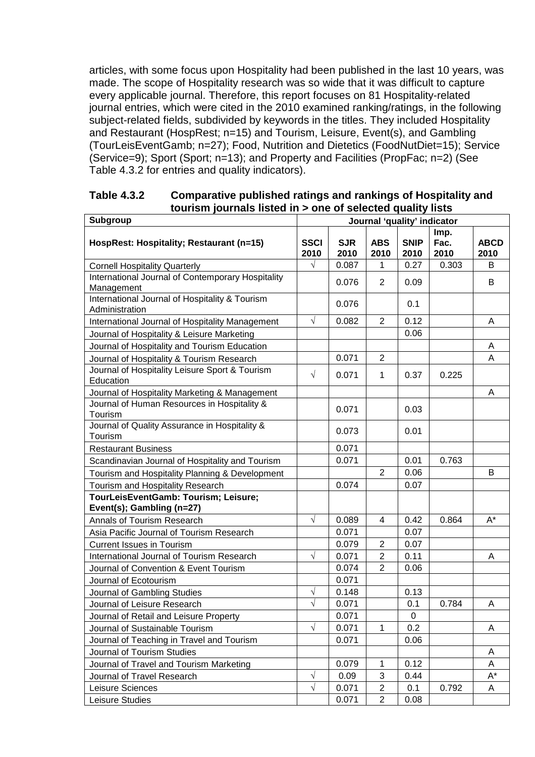articles, with some focus upon Hospitality had been published in the last 10 years, was made. The scope of Hospitality research was so wide that it was difficult to capture every applicable journal. Therefore, this report focuses on 81 Hospitality-related journal entries, which were cited in the 2010 examined ranking/ratings, in the following subject-related fields, subdivided by keywords in the titles. They included Hospitality and Restaurant (HospRest; n=15) and Tourism, Leisure, Event(s), and Gambling (TourLeisEventGamb; n=27); Food, Nutrition and Dietetics (FoodNutDiet=15); Service (Service=9); Sport (Sport; n=13); and Property and Facilities (PropFac; n=2) (See Table 4.3.2 for entries and quality indicators).

| Subgroup                                                         | סוסה משמח של הסוסט וס טווס דור אטוסה פומחומסן ווהסו<br>Journal 'quality' indicator |                    |                    |                     |              |                      |
|------------------------------------------------------------------|------------------------------------------------------------------------------------|--------------------|--------------------|---------------------|--------------|----------------------|
|                                                                  |                                                                                    |                    |                    |                     | Imp.         |                      |
| HospRest: Hospitality; Restaurant (n=15)                         | <b>SSCI</b><br>2010                                                                | <b>SJR</b><br>2010 | <b>ABS</b><br>2010 | <b>SNIP</b><br>2010 | Fac.<br>2010 | <b>ABCD</b><br>2010  |
| <b>Cornell Hospitality Quarterly</b>                             | $\sqrt{}$                                                                          | 0.087              | 1                  | 0.27                | 0.303        | В                    |
| International Journal of Contemporary Hospitality<br>Management  |                                                                                    | 0.076              | 2                  | 0.09                |              | В                    |
| International Journal of Hospitality & Tourism<br>Administration |                                                                                    | 0.076              |                    | 0.1                 |              |                      |
| International Journal of Hospitality Management                  | $\sqrt{}$                                                                          | 0.082              | 2                  | 0.12                |              | A                    |
| Journal of Hospitality & Leisure Marketing                       |                                                                                    |                    |                    | 0.06                |              |                      |
| Journal of Hospitality and Tourism Education                     |                                                                                    |                    |                    |                     |              | Α                    |
| Journal of Hospitality & Tourism Research                        |                                                                                    | 0.071              | $\overline{2}$     |                     |              | Α                    |
| Journal of Hospitality Leisure Sport & Tourism<br>Education      | $\sqrt{ }$                                                                         | 0.071              | $\mathbf 1$        | 0.37                | 0.225        |                      |
| Journal of Hospitality Marketing & Management                    |                                                                                    |                    |                    |                     |              | A                    |
| Journal of Human Resources in Hospitality &<br>Tourism           |                                                                                    | 0.071              |                    | 0.03                |              |                      |
| Journal of Quality Assurance in Hospitality &<br>Tourism         |                                                                                    | 0.073              |                    | 0.01                |              |                      |
| <b>Restaurant Business</b>                                       |                                                                                    | 0.071              |                    |                     |              |                      |
| Scandinavian Journal of Hospitality and Tourism                  |                                                                                    | 0.071              |                    | 0.01                | 0.763        |                      |
| Tourism and Hospitality Planning & Development                   |                                                                                    |                    | $\overline{2}$     | 0.06                |              | B                    |
| Tourism and Hospitality Research                                 |                                                                                    | 0.074              |                    | 0.07                |              |                      |
| TourLeisEventGamb: Tourism; Leisure;                             |                                                                                    |                    |                    |                     |              |                      |
| Event(s); Gambling (n=27)                                        |                                                                                    |                    |                    |                     |              |                      |
| Annals of Tourism Research                                       | $\sqrt{ }$                                                                         | 0.089              | 4                  | 0.42                | 0.864        | $\mathsf{A}^{\star}$ |
| Asia Pacific Journal of Tourism Research                         |                                                                                    | 0.071              |                    | 0.07                |              |                      |
| <b>Current Issues in Tourism</b>                                 |                                                                                    | 0.079              | $\overline{2}$     | 0.07                |              |                      |
| International Journal of Tourism Research                        | $\sqrt{ }$                                                                         | 0.071              | $\overline{2}$     | 0.11                |              | A                    |
| Journal of Convention & Event Tourism                            |                                                                                    | 0.074              | $\overline{2}$     | 0.06                |              |                      |
| Journal of Ecotourism                                            |                                                                                    | 0.071              |                    |                     |              |                      |
| Journal of Gambling Studies                                      | $\sqrt{}$                                                                          | 0.148              |                    | 0.13                |              |                      |
| Journal of Leisure Research                                      | $\sqrt{ }$                                                                         | 0.071              |                    | 0.1                 | 0.784        | A                    |
| Journal of Retail and Leisure Property                           |                                                                                    | 0.071              |                    | 0                   |              |                      |
| Journal of Sustainable Tourism                                   | $\sqrt{ }$                                                                         | 0.071              | $\mathbf 1$        | 0.2                 |              | A                    |
| Journal of Teaching in Travel and Tourism                        |                                                                                    | 0.071              |                    | 0.06                |              |                      |
| Journal of Tourism Studies                                       |                                                                                    |                    |                    |                     |              | A                    |
| Journal of Travel and Tourism Marketing                          |                                                                                    | 0.079              | $\mathbf 1$        | 0.12                |              | Α                    |
| Journal of Travel Research                                       | $\sqrt{}$                                                                          | 0.09               | 3                  | 0.44                |              | $\mathsf{A}^\star$   |
| Leisure Sciences                                                 | $\sqrt{}$                                                                          | 0.071              | 2                  | 0.1                 | 0.792        | A                    |
| Leisure Studies                                                  |                                                                                    | 0.071              | $\overline{2}$     | 0.08                |              |                      |

#### **Table 4.3.2 Comparative published ratings and rankings of Hospitality and tourism journals listed in > one of selected quality lists**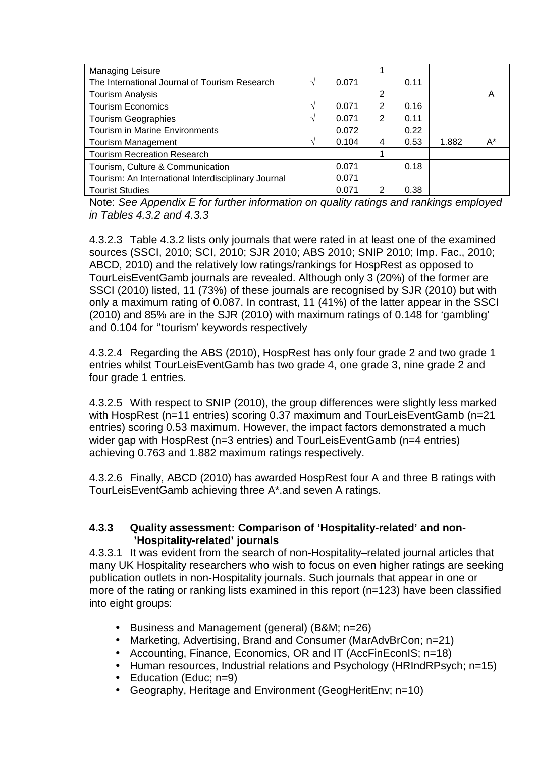| Managing Leisure                                    |       |               |      |       |    |
|-----------------------------------------------------|-------|---------------|------|-------|----|
| The International Journal of Tourism Research       | 0.071 |               | 0.11 |       |    |
| <b>Tourism Analysis</b>                             |       | 2             |      |       | A  |
| <b>Tourism Economics</b>                            | 0.071 | 2             | 0.16 |       |    |
| <b>Tourism Geographies</b>                          | 0.071 | 2             | 0.11 |       |    |
| Tourism in Marine Environments                      | 0.072 |               | 0.22 |       |    |
| <b>Tourism Management</b>                           | 0.104 | 4             | 0.53 | 1.882 | A* |
| <b>Tourism Recreation Research</b>                  |       |               |      |       |    |
| Tourism, Culture & Communication                    | 0.071 |               | 0.18 |       |    |
| Tourism: An International Interdisciplinary Journal | 0.071 |               |      |       |    |
| <b>Tourist Studies</b>                              | 0.071 | $\mathcal{P}$ | 0.38 |       |    |

Note: See Appendix E for further information on quality ratings and rankings employed in Tables  $4.3.2$  and  $4.3.3$ 

4.3.2.3 Table 4.3.2 lists only journals that were rated in at least one of the examined sources (SSCI, 2010; SCI, 2010; SJR 2010; ABS 2010; SNIP 2010; Imp. Fac., 2010; ABCD, 2010) and the relatively low ratings/rankings for HospRest as opposed to TourLeisEventGamb journals are revealed. Although only 3 (20%) of the former are SSCI (2010) listed, 11 (73%) of these journals are recognised by SJR (2010) but with only a maximum rating of 0.087. In contrast, 11 (41%) of the latter appear in the SSCI (2010) and 85% are in the SJR (2010) with maximum ratings of 0.148 for 'gambling' and 0.104 for ''tourism' keywords respectively

4.3.2.4 Regarding the ABS (2010), HospRest has only four grade 2 and two grade 1 entries whilst TourLeisEventGamb has two grade 4, one grade 3, nine grade 2 and four grade 1 entries.

4.3.2.5 With respect to SNIP (2010), the group differences were slightly less marked with HospRest (n=11 entries) scoring 0.37 maximum and TourLeisEventGamb (n=21 entries) scoring 0.53 maximum. However, the impact factors demonstrated a much wider gap with HospRest (n=3 entries) and TourLeisEventGamb (n=4 entries) achieving 0.763 and 1.882 maximum ratings respectively.

4.3.2.6 Finally, ABCD (2010) has awarded HospRest four A and three B ratings with TourLeisEventGamb achieving three A\*.and seven A ratings.

#### **4.3.3 Quality assessment: Comparison of 'Hospitality-related' and non- 'Hospitality-related' journals**

4.3.3.1 It was evident from the search of non-Hospitality–related journal articles that many UK Hospitality researchers who wish to focus on even higher ratings are seeking publication outlets in non-Hospitality journals. Such journals that appear in one or more of the rating or ranking lists examined in this report (n=123) have been classified into eight groups:

- Business and Management (general) (B&M; n=26)
- Marketing, Advertising, Brand and Consumer (MarAdvBrCon; n=21)
- Accounting, Finance, Economics, OR and IT (AccFinEconIS; n=18)
- Human resources, Industrial relations and Psychology (HRIndRPsych; n=15)
- Education (Educ: n=9)
- Geography, Heritage and Environment (GeogHeritEnv; n=10)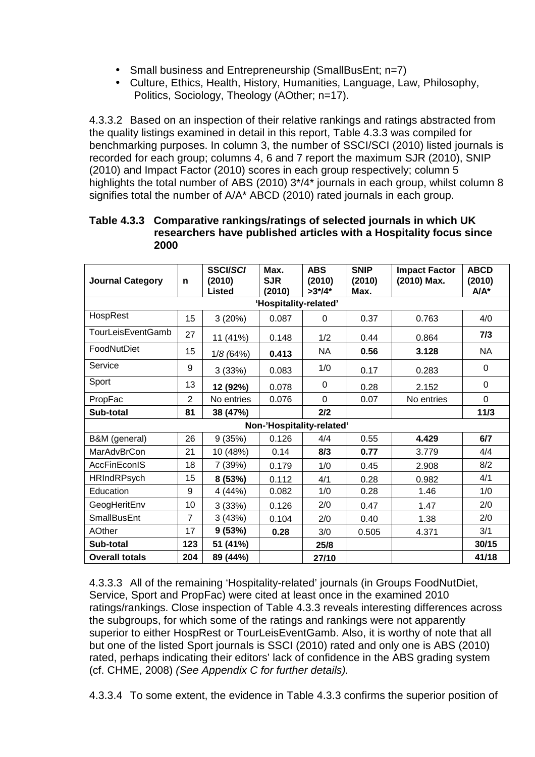- Small business and Entrepreneurship (SmallBusEnt; n=7)
- Culture, Ethics, Health, History, Humanities, Language, Law, Philosophy, Politics, Sociology, Theology (AOther; n=17).

4.3.3.2 Based on an inspection of their relative rankings and ratings abstracted from the quality listings examined in detail in this report, Table 4.3.3 was compiled for benchmarking purposes. In column 3, the number of SSCI/SCI (2010) listed journals is recorded for each group; columns 4, 6 and 7 report the maximum SJR (2010), SNIP (2010) and Impact Factor (2010) scores in each group respectively; column 5 highlights the total number of ABS (2010)  $3*/4*$  journals in each group, whilst column 8 signifies total the number of A/A\* ABCD (2010) rated journals in each group.

|                         |                | <b>SSCI/SCI</b> | Max.                      | <b>ABS</b>  | <b>SNIP</b> | <b>Impact Factor</b> | <b>ABCD</b> |  |
|-------------------------|----------------|-----------------|---------------------------|-------------|-------------|----------------------|-------------|--|
| <b>Journal Category</b> | n              | (2010)          | <b>SJR</b>                | (2010)      | (2010)      | (2010) Max.          | (2010)      |  |
|                         |                | Listed          | (2010)                    | $>3^{*/4*}$ | Max.        |                      | $A/A^*$     |  |
| 'Hospitality-related'   |                |                 |                           |             |             |                      |             |  |
| HospRest                | 15             | 3(20%)          | 0.087                     | 0           | 0.37        | 0.763                | 4/0         |  |
| TourLeisEventGamb       | 27             | 11 (41%)        | 0.148                     | 1/2         | 0.44        | 0.864                | 7/3         |  |
| FoodNutDiet             | 15             | 1/8(64%)        | 0.413                     | <b>NA</b>   | 0.56        | 3.128                | <b>NA</b>   |  |
| Service                 | 9              | 3(33%)          | 0.083                     | 1/0         | 0.17        | 0.283                | $\Omega$    |  |
| Sport                   | 13             | 12 (92%)        | 0.078                     | 0           | 0.28        | 2.152                | $\Omega$    |  |
| PropFac                 | $\overline{2}$ | No entries      | 0.076                     | 0           | 0.07        | No entries           | $\mathbf 0$ |  |
| Sub-total               | 81             | 38 (47%)        |                           | 2/2         |             |                      | 11/3        |  |
|                         |                |                 | Non-'Hospitality-related' |             |             |                      |             |  |
| B&M (general)           | 26             | 9(35%)          | 0.126                     | 4/4         | 0.55        | 4.429                | 6/7         |  |
| MarAdvBrCon             | 21             | 10 (48%)        | 0.14                      | 8/3         | 0.77        | 3.779                | 4/4         |  |
| <b>AccFinEconIS</b>     | 18             | 7 (39%)         | 0.179                     | 1/0         | 0.45        | 2.908                | 8/2         |  |
| <b>HRIndRPsych</b>      | 15             | 8 (53%)         | 0.112                     | 4/1         | 0.28        | 0.982                | 4/1         |  |
| Education               | 9              | 4 (44%)         | 0.082                     | 1/0         | 0.28        | 1.46                 | 1/0         |  |
| GeogHeritEnv            | 10             | 3(33%)          | 0.126                     | 2/0         | 0.47        | 1.47                 | 2/0         |  |
| <b>SmallBusEnt</b>      | $\overline{7}$ | 3(43%)          | 0.104                     | 2/0         | 0.40        | 1.38                 | 2/0         |  |
| <b>AOther</b>           | 17             | 9(53%)          | 0.28                      | 3/0         | 0.505       | 4.371                | 3/1         |  |
| Sub-total               | 123            | 51 (41%)        |                           | 25/8        |             |                      | 30/15       |  |
| <b>Overall totals</b>   | 204            | 89 (44%)        |                           | 27/10       |             |                      | 41/18       |  |

#### **Table 4.3.3 Comparative rankings/ratings of selected journals in which UK researchers have published articles with a Hospitality focus since 2000**

4.3.3.3 All of the remaining 'Hospitality-related' journals (in Groups FoodNutDiet, Service, Sport and PropFac) were cited at least once in the examined 2010 ratings/rankings. Close inspection of Table 4.3.3 reveals interesting differences across the subgroups, for which some of the ratings and rankings were not apparently superior to either HospRest or TourLeisEventGamb. Also, it is worthy of note that all but one of the listed Sport journals is SSCI (2010) rated and only one is ABS (2010) rated, perhaps indicating their editors' lack of confidence in the ABS grading system (cf. CHME, 2008) (See Appendix C for further details).

4.3.3.4 To some extent, the evidence in Table 4.3.3 confirms the superior position of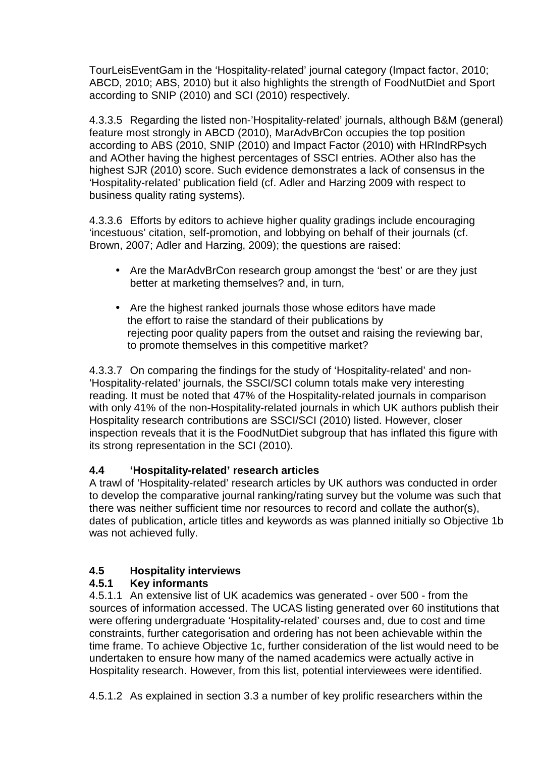TourLeisEventGam in the 'Hospitality-related' journal category (Impact factor, 2010; ABCD, 2010; ABS, 2010) but it also highlights the strength of FoodNutDiet and Sport according to SNIP (2010) and SCI (2010) respectively.

4.3.3.5 Regarding the listed non-'Hospitality-related' journals, although B&M (general) feature most strongly in ABCD (2010), MarAdvBrCon occupies the top position according to ABS (2010, SNIP (2010) and Impact Factor (2010) with HRIndRPsych and AOther having the highest percentages of SSCI entries. AOther also has the highest SJR (2010) score. Such evidence demonstrates a lack of consensus in the 'Hospitality-related' publication field (cf. Adler and Harzing 2009 with respect to business quality rating systems).

4.3.3.6 Efforts by editors to achieve higher quality gradings include encouraging 'incestuous' citation, self-promotion, and lobbying on behalf of their journals (cf. Brown, 2007; Adler and Harzing, 2009); the questions are raised:

- Are the MarAdvBrCon research group amongst the 'best' or are they just better at marketing themselves? and, in turn,
- Are the highest ranked journals those whose editors have made the effort to raise the standard of their publications by rejecting poor quality papers from the outset and raising the reviewing bar, to promote themselves in this competitive market?

4.3.3.7 On comparing the findings for the study of 'Hospitality-related' and non- 'Hospitality-related' journals, the SSCI/SCI column totals make very interesting reading. It must be noted that 47% of the Hospitality-related journals in comparison with only 41% of the non-Hospitality-related journals in which UK authors publish their Hospitality research contributions are SSCI/SCI (2010) listed. However, closer inspection reveals that it is the FoodNutDiet subgroup that has inflated this figure with its strong representation in the SCI (2010).

## **4.4 'Hospitality-related' research articles**

A trawl of 'Hospitality-related' research articles by UK authors was conducted in order to develop the comparative journal ranking/rating survey but the volume was such that there was neither sufficient time nor resources to record and collate the author(s), dates of publication, article titles and keywords as was planned initially so Objective 1b was not achieved fully.

## **4.5 Hospitality interviews**

## **4.5.1 Key informants**

4.5.1.1 An extensive list of UK academics was generated - over 500 - from the sources of information accessed. The UCAS listing generated over 60 institutions that were offering undergraduate 'Hospitality-related' courses and, due to cost and time constraints, further categorisation and ordering has not been achievable within the time frame. To achieve Objective 1c, further consideration of the list would need to be undertaken to ensure how many of the named academics were actually active in Hospitality research. However, from this list, potential interviewees were identified.

4.5.1.2 As explained in section 3.3 a number of key prolific researchers within the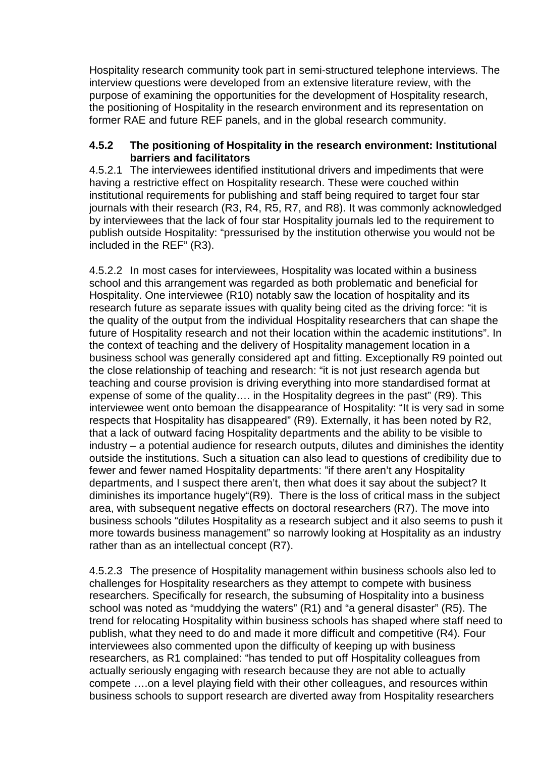Hospitality research community took part in semi-structured telephone interviews. The interview questions were developed from an extensive literature review, with the purpose of examining the opportunities for the development of Hospitality research, the positioning of Hospitality in the research environment and its representation on former RAE and future REF panels, and in the global research community.

#### **4.5.2 The positioning of Hospitality in the research environment: Institutional barriers and facilitators**

4.5.2.1 The interviewees identified institutional drivers and impediments that were having a restrictive effect on Hospitality research. These were couched within institutional requirements for publishing and staff being required to target four star journals with their research (R3, R4, R5, R7, and R8). It was commonly acknowledged by interviewees that the lack of four star Hospitality journals led to the requirement to publish outside Hospitality: "pressurised by the institution otherwise you would not be included in the REF" (R3).

4.5.2.2 In most cases for interviewees, Hospitality was located within a business school and this arrangement was regarded as both problematic and beneficial for Hospitality. One interviewee (R10) notably saw the location of hospitality and its research future as separate issues with quality being cited as the driving force: "it is the quality of the output from the individual Hospitality researchers that can shape the future of Hospitality research and not their location within the academic institutions". In the context of teaching and the delivery of Hospitality management location in a business school was generally considered apt and fitting. Exceptionally R9 pointed out the close relationship of teaching and research: "it is not just research agenda but teaching and course provision is driving everything into more standardised format at expense of some of the quality…. in the Hospitality degrees in the past" (R9). This interviewee went onto bemoan the disappearance of Hospitality: "It is very sad in some respects that Hospitality has disappeared" (R9). Externally, it has been noted by R2, that a lack of outward facing Hospitality departments and the ability to be visible to industry – a potential audience for research outputs, dilutes and diminishes the identity outside the institutions. Such a situation can also lead to questions of credibility due to fewer and fewer named Hospitality departments: "if there aren't any Hospitality departments, and I suspect there aren't, then what does it say about the subject? It diminishes its importance hugely"(R9). There is the loss of critical mass in the subject area, with subsequent negative effects on doctoral researchers (R7). The move into business schools "dilutes Hospitality as a research subject and it also seems to push it more towards business management" so narrowly looking at Hospitality as an industry rather than as an intellectual concept (R7).

4.5.2.3 The presence of Hospitality management within business schools also led to challenges for Hospitality researchers as they attempt to compete with business researchers. Specifically for research, the subsuming of Hospitality into a business school was noted as "muddying the waters" (R1) and "a general disaster" (R5). The trend for relocating Hospitality within business schools has shaped where staff need to publish, what they need to do and made it more difficult and competitive (R4). Four interviewees also commented upon the difficulty of keeping up with business researchers, as R1 complained: "has tended to put off Hospitality colleagues from actually seriously engaging with research because they are not able to actually compete ….on a level playing field with their other colleagues, and resources within business schools to support research are diverted away from Hospitality researchers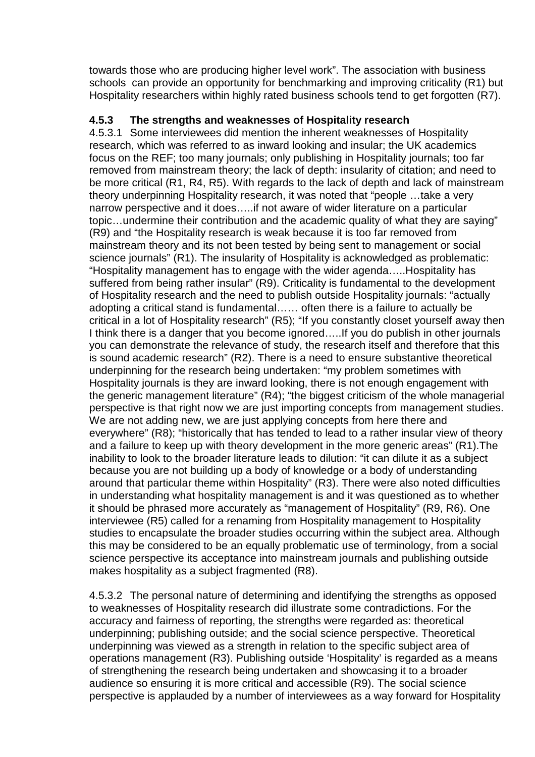towards those who are producing higher level work". The association with business schools can provide an opportunity for benchmarking and improving criticality (R1) but Hospitality researchers within highly rated business schools tend to get forgotten (R7).

### **4.5.3 The strengths and weaknesses of Hospitality research**

4.5.3.1 Some interviewees did mention the inherent weaknesses of Hospitality research, which was referred to as inward looking and insular; the UK academics focus on the REF; too many journals; only publishing in Hospitality journals; too far removed from mainstream theory; the lack of depth: insularity of citation; and need to be more critical (R1, R4, R5). With regards to the lack of depth and lack of mainstream theory underpinning Hospitality research, it was noted that "people …take a very narrow perspective and it does…..if not aware of wider literature on a particular topic…undermine their contribution and the academic quality of what they are saying" (R9) and "the Hospitality research is weak because it is too far removed from mainstream theory and its not been tested by being sent to management or social science journals" (R1). The insularity of Hospitality is acknowledged as problematic: "Hospitality management has to engage with the wider agenda…..Hospitality has suffered from being rather insular" (R9). Criticality is fundamental to the development of Hospitality research and the need to publish outside Hospitality journals: "actually adopting a critical stand is fundamental…… often there is a failure to actually be critical in a lot of Hospitality research" (R5); "If you constantly closet yourself away then I think there is a danger that you become ignored…..If you do publish in other journals you can demonstrate the relevance of study, the research itself and therefore that this is sound academic research" (R2). There is a need to ensure substantive theoretical underpinning for the research being undertaken: "my problem sometimes with Hospitality journals is they are inward looking, there is not enough engagement with the generic management literature" (R4); "the biggest criticism of the whole managerial perspective is that right now we are just importing concepts from management studies. We are not adding new, we are just applying concepts from here there and everywhere" (R8); "historically that has tended to lead to a rather insular view of theory and a failure to keep up with theory development in the more generic areas" (R1).The inability to look to the broader literature leads to dilution: "it can dilute it as a subject because you are not building up a body of knowledge or a body of understanding around that particular theme within Hospitality" (R3). There were also noted difficulties in understanding what hospitality management is and it was questioned as to whether it should be phrased more accurately as "management of Hospitality" (R9, R6). One interviewee (R5) called for a renaming from Hospitality management to Hospitality studies to encapsulate the broader studies occurring within the subject area. Although this may be considered to be an equally problematic use of terminology, from a social science perspective its acceptance into mainstream journals and publishing outside makes hospitality as a subject fragmented (R8).

4.5.3.2 The personal nature of determining and identifying the strengths as opposed to weaknesses of Hospitality research did illustrate some contradictions. For the accuracy and fairness of reporting, the strengths were regarded as: theoretical underpinning; publishing outside; and the social science perspective. Theoretical underpinning was viewed as a strength in relation to the specific subject area of operations management (R3). Publishing outside 'Hospitality' is regarded as a means of strengthening the research being undertaken and showcasing it to a broader audience so ensuring it is more critical and accessible (R9). The social science perspective is applauded by a number of interviewees as a way forward for Hospitality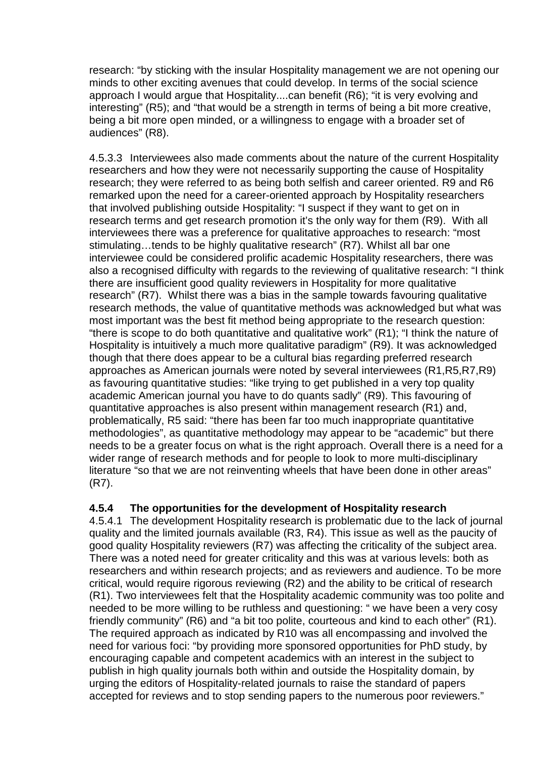research: "by sticking with the insular Hospitality management we are not opening our minds to other exciting avenues that could develop. In terms of the social science approach I would argue that Hospitality....can benefit (R6); "it is very evolving and interesting" (R5); and "that would be a strength in terms of being a bit more creative, being a bit more open minded, or a willingness to engage with a broader set of audiences" (R8).

4.5.3.3 Interviewees also made comments about the nature of the current Hospitality researchers and how they were not necessarily supporting the cause of Hospitality research; they were referred to as being both selfish and career oriented. R9 and R6 remarked upon the need for a career-oriented approach by Hospitality researchers that involved publishing outside Hospitality: "I suspect if they want to get on in research terms and get research promotion it's the only way for them (R9). With all interviewees there was a preference for qualitative approaches to research: "most stimulating…tends to be highly qualitative research" (R7). Whilst all bar one interviewee could be considered prolific academic Hospitality researchers, there was also a recognised difficulty with regards to the reviewing of qualitative research: "I think there are insufficient good quality reviewers in Hospitality for more qualitative research" (R7). Whilst there was a bias in the sample towards favouring qualitative research methods, the value of quantitative methods was acknowledged but what was most important was the best fit method being appropriate to the research question: "there is scope to do both quantitative and qualitative work" (R1); "I think the nature of Hospitality is intuitively a much more qualitative paradigm" (R9). It was acknowledged though that there does appear to be a cultural bias regarding preferred research approaches as American journals were noted by several interviewees (R1,R5,R7,R9) as favouring quantitative studies: "like trying to get published in a very top quality academic American journal you have to do quants sadly" (R9). This favouring of quantitative approaches is also present within management research (R1) and, problematically, R5 said: "there has been far too much inappropriate quantitative methodologies", as quantitative methodology may appear to be "academic" but there needs to be a greater focus on what is the right approach. Overall there is a need for a wider range of research methods and for people to look to more multi-disciplinary literature "so that we are not reinventing wheels that have been done in other areas" (R7).

#### **4.5.4 The opportunities for the development of Hospitality research**

4.5.4.1 The development Hospitality research is problematic due to the lack of journal quality and the limited journals available (R3, R4). This issue as well as the paucity of good quality Hospitality reviewers (R7) was affecting the criticality of the subject area. There was a noted need for greater criticality and this was at various levels: both as researchers and within research projects; and as reviewers and audience. To be more critical, would require rigorous reviewing (R2) and the ability to be critical of research (R1). Two interviewees felt that the Hospitality academic community was too polite and needed to be more willing to be ruthless and questioning: " we have been a very cosy friendly community" (R6) and "a bit too polite, courteous and kind to each other" (R1). The required approach as indicated by R10 was all encompassing and involved the need for various foci: "by providing more sponsored opportunities for PhD study, by encouraging capable and competent academics with an interest in the subject to publish in high quality journals both within and outside the Hospitality domain, by urging the editors of Hospitality-related journals to raise the standard of papers accepted for reviews and to stop sending papers to the numerous poor reviewers."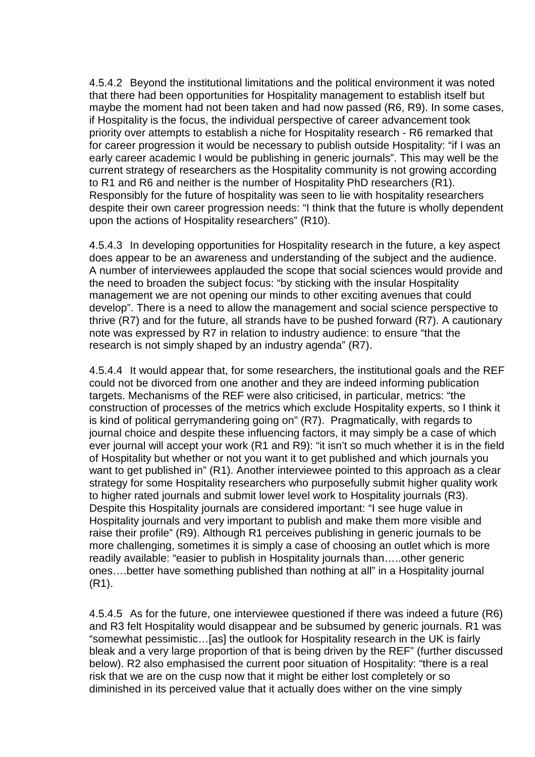4.5.4.2 Beyond the institutional limitations and the political environment it was noted that there had been opportunities for Hospitality management to establish itself but maybe the moment had not been taken and had now passed (R6, R9). In some cases, if Hospitality is the focus, the individual perspective of career advancement took priority over attempts to establish a niche for Hospitality research - R6 remarked that for career progression it would be necessary to publish outside Hospitality: "if I was an early career academic I would be publishing in generic journals". This may well be the current strategy of researchers as the Hospitality community is not growing according to R1 and R6 and neither is the number of Hospitality PhD researchers (R1). Responsibly for the future of hospitality was seen to lie with hospitality researchers despite their own career progression needs: "I think that the future is wholly dependent upon the actions of Hospitality researchers" (R10).

4.5.4.3 In developing opportunities for Hospitality research in the future, a key aspect does appear to be an awareness and understanding of the subject and the audience. A number of interviewees applauded the scope that social sciences would provide and the need to broaden the subject focus: "by sticking with the insular Hospitality management we are not opening our minds to other exciting avenues that could develop". There is a need to allow the management and social science perspective to thrive (R7) and for the future, all strands have to be pushed forward (R7). A cautionary note was expressed by R7 in relation to industry audience: to ensure "that the research is not simply shaped by an industry agenda" (R7).

4.5.4.4 It would appear that, for some researchers, the institutional goals and the REF could not be divorced from one another and they are indeed informing publication targets. Mechanisms of the REF were also criticised, in particular, metrics: "the construction of processes of the metrics which exclude Hospitality experts, so I think it is kind of political gerrymandering going on" (R7). Pragmatically, with regards to journal choice and despite these influencing factors, it may simply be a case of which ever journal will accept your work (R1 and R9): "it isn't so much whether it is in the field of Hospitality but whether or not you want it to get published and which journals you want to get published in" (R1). Another interviewee pointed to this approach as a clear strategy for some Hospitality researchers who purposefully submit higher quality work to higher rated journals and submit lower level work to Hospitality journals (R3). Despite this Hospitality journals are considered important: "I see huge value in Hospitality journals and very important to publish and make them more visible and raise their profile" (R9). Although R1 perceives publishing in generic journals to be more challenging, sometimes it is simply a case of choosing an outlet which is more readily available: "easier to publish in Hospitality journals than…..other generic ones….better have something published than nothing at all" in a Hospitality journal (R1).

4.5.4.5 As for the future, one interviewee questioned if there was indeed a future (R6) and R3 felt Hospitality would disappear and be subsumed by generic journals. R1 was "somewhat pessimistic…[as] the outlook for Hospitality research in the UK is fairly bleak and a very large proportion of that is being driven by the REF" (further discussed below). R2 also emphasised the current poor situation of Hospitality: "there is a real risk that we are on the cusp now that it might be either lost completely or so diminished in its perceived value that it actually does wither on the vine simply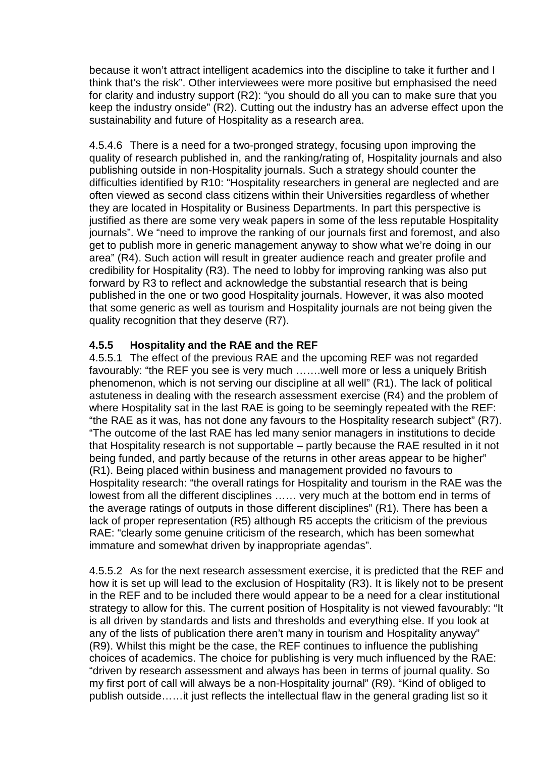because it won't attract intelligent academics into the discipline to take it further and I think that's the risk". Other interviewees were more positive but emphasised the need for clarity and industry support (R2): "you should do all you can to make sure that you keep the industry onside" (R2). Cutting out the industry has an adverse effect upon the sustainability and future of Hospitality as a research area.

4.5.4.6 There is a need for a two-pronged strategy, focusing upon improving the quality of research published in, and the ranking/rating of, Hospitality journals and also publishing outside in non-Hospitality journals. Such a strategy should counter the difficulties identified by R10: "Hospitality researchers in general are neglected and are often viewed as second class citizens within their Universities regardless of whether they are located in Hospitality or Business Departments. In part this perspective is justified as there are some very weak papers in some of the less reputable Hospitality journals". We "need to improve the ranking of our journals first and foremost, and also get to publish more in generic management anyway to show what we're doing in our area" (R4). Such action will result in greater audience reach and greater profile and credibility for Hospitality (R3). The need to lobby for improving ranking was also put forward by R3 to reflect and acknowledge the substantial research that is being published in the one or two good Hospitality journals. However, it was also mooted that some generic as well as tourism and Hospitality journals are not being given the quality recognition that they deserve (R7).

#### **4.5.5 Hospitality and the RAE and the REF**

4.5.5.1 The effect of the previous RAE and the upcoming REF was not regarded favourably: "the REF you see is very much …….well more or less a uniquely British phenomenon, which is not serving our discipline at all well" (R1). The lack of political astuteness in dealing with the research assessment exercise (R4) and the problem of where Hospitality sat in the last RAE is going to be seemingly repeated with the REF: "the RAE as it was, has not done any favours to the Hospitality research subject" (R7). "The outcome of the last RAE has led many senior managers in institutions to decide that Hospitality research is not supportable – partly because the RAE resulted in it not being funded, and partly because of the returns in other areas appear to be higher" (R1). Being placed within business and management provided no favours to Hospitality research: "the overall ratings for Hospitality and tourism in the RAE was the lowest from all the different disciplines …… very much at the bottom end in terms of the average ratings of outputs in those different disciplines" (R1). There has been a lack of proper representation (R5) although R5 accepts the criticism of the previous RAE: "clearly some genuine criticism of the research, which has been somewhat immature and somewhat driven by inappropriate agendas".

4.5.5.2 As for the next research assessment exercise, it is predicted that the REF and how it is set up will lead to the exclusion of Hospitality (R3). It is likely not to be present in the REF and to be included there would appear to be a need for a clear institutional strategy to allow for this. The current position of Hospitality is not viewed favourably: "It is all driven by standards and lists and thresholds and everything else. If you look at any of the lists of publication there aren't many in tourism and Hospitality anyway" (R9). Whilst this might be the case, the REF continues to influence the publishing choices of academics. The choice for publishing is very much influenced by the RAE: "driven by research assessment and always has been in terms of journal quality. So my first port of call will always be a non-Hospitality journal" (R9). "Kind of obliged to publish outside……it just reflects the intellectual flaw in the general grading list so it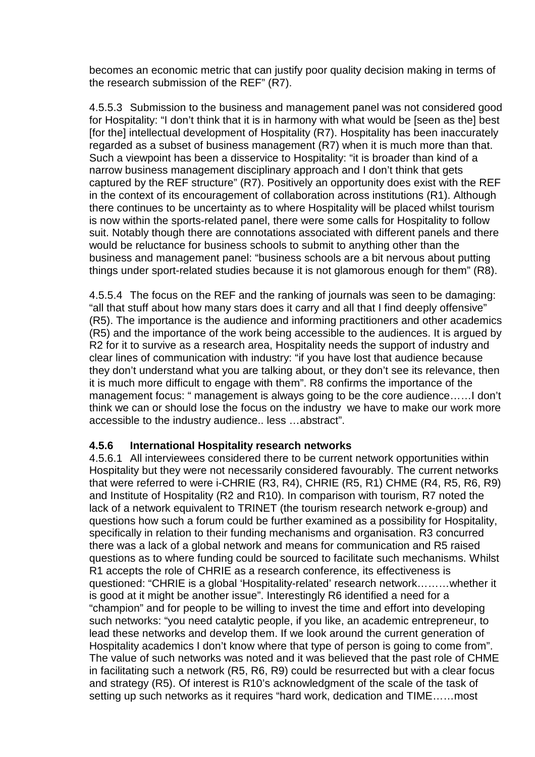becomes an economic metric that can justify poor quality decision making in terms of the research submission of the REF" (R7).

4.5.5.3 Submission to the business and management panel was not considered good for Hospitality: "I don't think that it is in harmony with what would be [seen as the] best [for the] intellectual development of Hospitality (R7). Hospitality has been inaccurately regarded as a subset of business management (R7) when it is much more than that. Such a viewpoint has been a disservice to Hospitality: "it is broader than kind of a narrow business management disciplinary approach and I don't think that gets captured by the REF structure" (R7). Positively an opportunity does exist with the REF in the context of its encouragement of collaboration across institutions (R1). Although there continues to be uncertainty as to where Hospitality will be placed whilst tourism is now within the sports-related panel, there were some calls for Hospitality to follow suit. Notably though there are connotations associated with different panels and there would be reluctance for business schools to submit to anything other than the business and management panel: "business schools are a bit nervous about putting things under sport-related studies because it is not glamorous enough for them" (R8).

4.5.5.4 The focus on the REF and the ranking of journals was seen to be damaging: "all that stuff about how many stars does it carry and all that I find deeply offensive" (R5). The importance is the audience and informing practitioners and other academics (R5) and the importance of the work being accessible to the audiences. It is argued by R2 for it to survive as a research area, Hospitality needs the support of industry and clear lines of communication with industry: "if you have lost that audience because they don't understand what you are talking about, or they don't see its relevance, then it is much more difficult to engage with them". R8 confirms the importance of the management focus: " management is always going to be the core audience……I don't think we can or should lose the focus on the industry we have to make our work more accessible to the industry audience.. less …abstract".

#### **4.5.6 International Hospitality research networks**

4.5.6.1 All interviewees considered there to be current network opportunities within Hospitality but they were not necessarily considered favourably. The current networks that were referred to were i-CHRIE (R3, R4), CHRIE (R5, R1) CHME (R4, R5, R6, R9) and Institute of Hospitality (R2 and R10). In comparison with tourism, R7 noted the lack of a network equivalent to TRINET (the tourism research network e-group) and questions how such a forum could be further examined as a possibility for Hospitality, specifically in relation to their funding mechanisms and organisation. R3 concurred there was a lack of a global network and means for communication and R5 raised questions as to where funding could be sourced to facilitate such mechanisms. Whilst R1 accepts the role of CHRIE as a research conference, its effectiveness is questioned: "CHRIE is a global 'Hospitality-related' research network………whether it is good at it might be another issue". Interestingly R6 identified a need for a "champion" and for people to be willing to invest the time and effort into developing such networks: "you need catalytic people, if you like, an academic entrepreneur, to lead these networks and develop them. If we look around the current generation of Hospitality academics I don't know where that type of person is going to come from". The value of such networks was noted and it was believed that the past role of CHME in facilitating such a network (R5, R6, R9) could be resurrected but with a clear focus and strategy (R5). Of interest is R10's acknowledgment of the scale of the task of setting up such networks as it requires "hard work, dedication and TIME……most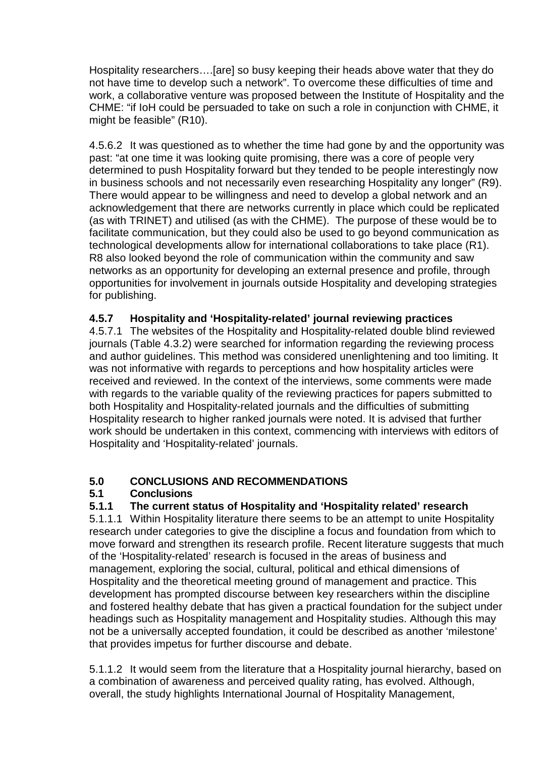Hospitality researchers….[are] so busy keeping their heads above water that they do not have time to develop such a network". To overcome these difficulties of time and work, a collaborative venture was proposed between the Institute of Hospitality and the CHME: "if IoH could be persuaded to take on such a role in conjunction with CHME, it might be feasible" (R10).

4.5.6.2 It was questioned as to whether the time had gone by and the opportunity was past: "at one time it was looking quite promising, there was a core of people very determined to push Hospitality forward but they tended to be people interestingly now in business schools and not necessarily even researching Hospitality any longer" (R9). There would appear to be willingness and need to develop a global network and an acknowledgement that there are networks currently in place which could be replicated (as with TRINET) and utilised (as with the CHME). The purpose of these would be to facilitate communication, but they could also be used to go beyond communication as technological developments allow for international collaborations to take place (R1). R8 also looked beyond the role of communication within the community and saw networks as an opportunity for developing an external presence and profile, through opportunities for involvement in journals outside Hospitality and developing strategies for publishing.

## **4.5.7 Hospitality and 'Hospitality-related' journal reviewing practices**

4.5.7.1 The websites of the Hospitality and Hospitality-related double blind reviewed journals (Table 4.3.2) were searched for information regarding the reviewing process and author guidelines. This method was considered unenlightening and too limiting. It was not informative with regards to perceptions and how hospitality articles were received and reviewed. In the context of the interviews, some comments were made with regards to the variable quality of the reviewing practices for papers submitted to both Hospitality and Hospitality-related journals and the difficulties of submitting Hospitality research to higher ranked journals were noted. It is advised that further work should be undertaken in this context, commencing with interviews with editors of Hospitality and 'Hospitality-related' journals.

#### **5.0 CONCLUSIONS AND RECOMMENDATIONS**

#### **5.1 Conclusions**

#### **5.1.1 The current status of Hospitality and 'Hospitality related' research**

5.1.1.1 Within Hospitality literature there seems to be an attempt to unite Hospitality research under categories to give the discipline a focus and foundation from which to move forward and strengthen its research profile. Recent literature suggests that much of the 'Hospitality-related' research is focused in the areas of business and management, exploring the social, cultural, political and ethical dimensions of Hospitality and the theoretical meeting ground of management and practice. This development has prompted discourse between key researchers within the discipline and fostered healthy debate that has given a practical foundation for the subject under headings such as Hospitality management and Hospitality studies. Although this may not be a universally accepted foundation, it could be described as another 'milestone' that provides impetus for further discourse and debate.

5.1.1.2 It would seem from the literature that a Hospitality journal hierarchy, based on a combination of awareness and perceived quality rating, has evolved. Although, overall, the study highlights International Journal of Hospitality Management,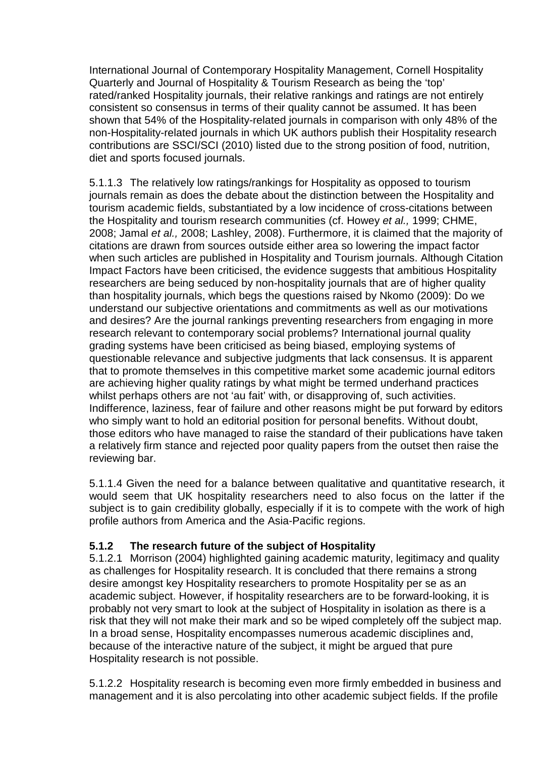International Journal of Contemporary Hospitality Management, Cornell Hospitality Quarterly and Journal of Hospitality & Tourism Research as being the 'top' rated/ranked Hospitality journals, their relative rankings and ratings are not entirely consistent so consensus in terms of their quality cannot be assumed. It has been shown that 54% of the Hospitality-related journals in comparison with only 48% of the non-Hospitality-related journals in which UK authors publish their Hospitality research contributions are SSCI/SCI (2010) listed due to the strong position of food, nutrition, diet and sports focused journals.

5.1.1.3 The relatively low ratings/rankings for Hospitality as opposed to tourism journals remain as does the debate about the distinction between the Hospitality and tourism academic fields, substantiated by a low incidence of cross-citations between the Hospitality and tourism research communities (cf. Howey et al., 1999; CHME, 2008; Jamal et al., 2008; Lashley, 2008). Furthermore, it is claimed that the majority of citations are drawn from sources outside either area so lowering the impact factor when such articles are published in Hospitality and Tourism journals. Although Citation Impact Factors have been criticised, the evidence suggests that ambitious Hospitality researchers are being seduced by non-hospitality journals that are of higher quality than hospitality journals, which begs the questions raised by Nkomo (2009): Do we understand our subjective orientations and commitments as well as our motivations and desires? Are the journal rankings preventing researchers from engaging in more research relevant to contemporary social problems? International journal quality grading systems have been criticised as being biased, employing systems of questionable relevance and subjective judgments that lack consensus. It is apparent that to promote themselves in this competitive market some academic journal editors are achieving higher quality ratings by what might be termed underhand practices whilst perhaps others are not 'au fait' with, or disapproving of, such activities. Indifference, laziness, fear of failure and other reasons might be put forward by editors who simply want to hold an editorial position for personal benefits. Without doubt, those editors who have managed to raise the standard of their publications have taken a relatively firm stance and rejected poor quality papers from the outset then raise the reviewing bar.

5.1.1.4 Given the need for a balance between qualitative and quantitative research, it would seem that UK hospitality researchers need to also focus on the latter if the subject is to gain credibility globally, especially if it is to compete with the work of high profile authors from America and the Asia-Pacific regions.

#### **5.1.2 The research future of the subject of Hospitality**

5.1.2.1 Morrison (2004) highlighted gaining academic maturity, legitimacy and quality as challenges for Hospitality research. It is concluded that there remains a strong desire amongst key Hospitality researchers to promote Hospitality per se as an academic subject. However, if hospitality researchers are to be forward-looking, it is probably not very smart to look at the subject of Hospitality in isolation as there is a risk that they will not make their mark and so be wiped completely off the subject map. In a broad sense, Hospitality encompasses numerous academic disciplines and, because of the interactive nature of the subject, it might be argued that pure Hospitality research is not possible.

5.1.2.2 Hospitality research is becoming even more firmly embedded in business and management and it is also percolating into other academic subject fields. If the profile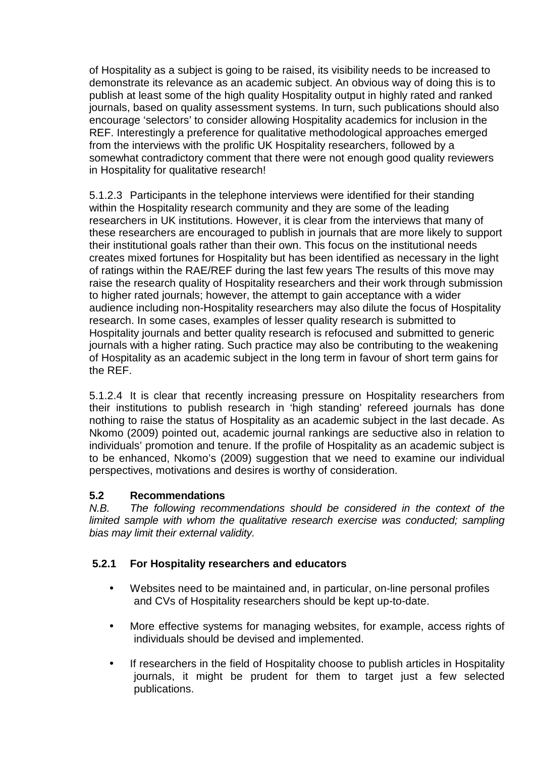of Hospitality as a subject is going to be raised, its visibility needs to be increased to demonstrate its relevance as an academic subject. An obvious way of doing this is to publish at least some of the high quality Hospitality output in highly rated and ranked journals, based on quality assessment systems. In turn, such publications should also encourage 'selectors' to consider allowing Hospitality academics for inclusion in the REF. Interestingly a preference for qualitative methodological approaches emerged from the interviews with the prolific UK Hospitality researchers, followed by a somewhat contradictory comment that there were not enough good quality reviewers in Hospitality for qualitative research!

5.1.2.3 Participants in the telephone interviews were identified for their standing within the Hospitality research community and they are some of the leading researchers in UK institutions. However, it is clear from the interviews that many of these researchers are encouraged to publish in journals that are more likely to support their institutional goals rather than their own. This focus on the institutional needs creates mixed fortunes for Hospitality but has been identified as necessary in the light of ratings within the RAE/REF during the last few years The results of this move may raise the research quality of Hospitality researchers and their work through submission to higher rated journals; however, the attempt to gain acceptance with a wider audience including non-Hospitality researchers may also dilute the focus of Hospitality research. In some cases, examples of lesser quality research is submitted to Hospitality journals and better quality research is refocused and submitted to generic journals with a higher rating. Such practice may also be contributing to the weakening of Hospitality as an academic subject in the long term in favour of short term gains for the REF.

5.1.2.4 It is clear that recently increasing pressure on Hospitality researchers from their institutions to publish research in 'high standing' refereed journals has done nothing to raise the status of Hospitality as an academic subject in the last decade. As Nkomo (2009) pointed out, academic journal rankings are seductive also in relation to individuals' promotion and tenure. If the profile of Hospitality as an academic subject is to be enhanced, Nkomo's (2009) suggestion that we need to examine our individual perspectives, motivations and desires is worthy of consideration.

#### **5.2 Recommendations**

N.B. The following recommendations should be considered in the context of the limited sample with whom the qualitative research exercise was conducted; sampling bias may limit their external validity.

## **5.2.1 For Hospitality researchers and educators**

- Websites need to be maintained and, in particular, on-line personal profiles and CVs of Hospitality researchers should be kept up-to-date.
- More effective systems for managing websites, for example, access rights of individuals should be devised and implemented.
- If researchers in the field of Hospitality choose to publish articles in Hospitality journals, it might be prudent for them to target just a few selected publications.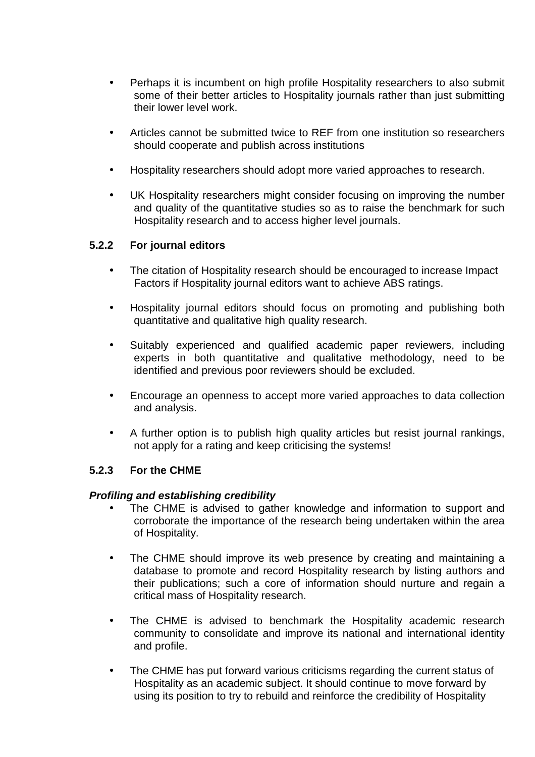- Perhaps it is incumbent on high profile Hospitality researchers to also submit some of their better articles to Hospitality journals rather than just submitting their lower level work.
- Articles cannot be submitted twice to REF from one institution so researchers should cooperate and publish across institutions
- Hospitality researchers should adopt more varied approaches to research.
- UK Hospitality researchers might consider focusing on improving the number and quality of the quantitative studies so as to raise the benchmark for such Hospitality research and to access higher level journals.

#### **5.2.2 For journal editors**

- The citation of Hospitality research should be encouraged to increase Impact Factors if Hospitality journal editors want to achieve ABS ratings.
- Hospitality journal editors should focus on promoting and publishing both quantitative and qualitative high quality research.
- Suitably experienced and qualified academic paper reviewers, including experts in both quantitative and qualitative methodology, need to be identified and previous poor reviewers should be excluded.
- Encourage an openness to accept more varied approaches to data collection and analysis.
- A further option is to publish high quality articles but resist journal rankings, not apply for a rating and keep criticising the systems!

#### **5.2.3 For the CHME**

#### **Profiling and establishing credibility**

- The CHME is advised to gather knowledge and information to support and corroborate the importance of the research being undertaken within the area of Hospitality.
- The CHME should improve its web presence by creating and maintaining a database to promote and record Hospitality research by listing authors and their publications; such a core of information should nurture and regain a critical mass of Hospitality research.
- The CHME is advised to benchmark the Hospitality academic research community to consolidate and improve its national and international identity and profile.
- The CHME has put forward various criticisms regarding the current status of Hospitality as an academic subject. It should continue to move forward by using its position to try to rebuild and reinforce the credibility of Hospitality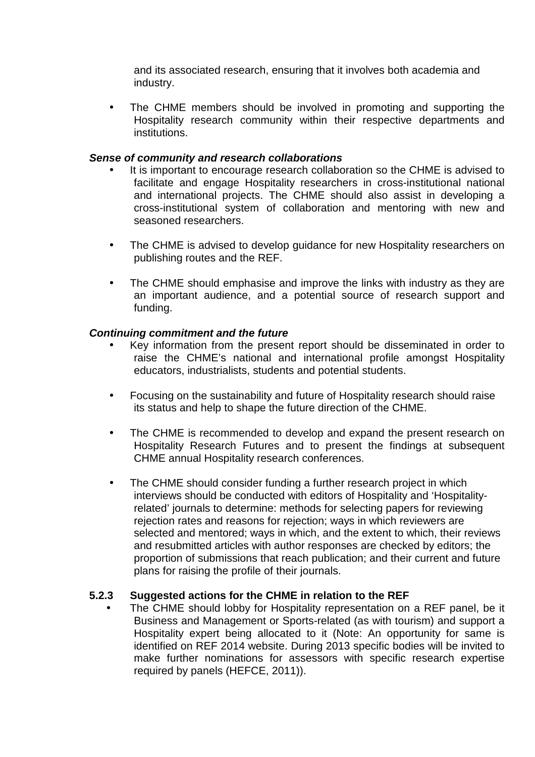and its associated research, ensuring that it involves both academia and industry.

• The CHME members should be involved in promoting and supporting the Hospitality research community within their respective departments and institutions.

#### **Sense of community and research collaborations**

- It is important to encourage research collaboration so the CHME is advised to facilitate and engage Hospitality researchers in cross-institutional national and international projects. The CHME should also assist in developing a cross-institutional system of collaboration and mentoring with new and seasoned researchers.
- The CHME is advised to develop guidance for new Hospitality researchers on publishing routes and the REF.
- The CHME should emphasise and improve the links with industry as they are an important audience, and a potential source of research support and funding.

#### **Continuing commitment and the future**

- Key information from the present report should be disseminated in order to raise the CHME's national and international profile amongst Hospitality educators, industrialists, students and potential students.
- Focusing on the sustainability and future of Hospitality research should raise its status and help to shape the future direction of the CHME.
- The CHME is recommended to develop and expand the present research on Hospitality Research Futures and to present the findings at subsequent CHME annual Hospitality research conferences.
- The CHME should consider funding a further research project in which interviews should be conducted with editors of Hospitality and 'Hospitalityrelated' journals to determine: methods for selecting papers for reviewing rejection rates and reasons for rejection; ways in which reviewers are selected and mentored; ways in which, and the extent to which, their reviews and resubmitted articles with author responses are checked by editors; the proportion of submissions that reach publication; and their current and future plans for raising the profile of their journals.

#### **5.2.3 Suggested actions for the CHME in relation to the REF**

The CHME should lobby for Hospitality representation on a REF panel, be it Business and Management or Sports-related (as with tourism) and support a Hospitality expert being allocated to it (Note: An opportunity for same is identified on REF 2014 website. During 2013 specific bodies will be invited to make further nominations for assessors with specific research expertise required by panels (HEFCE, 2011)).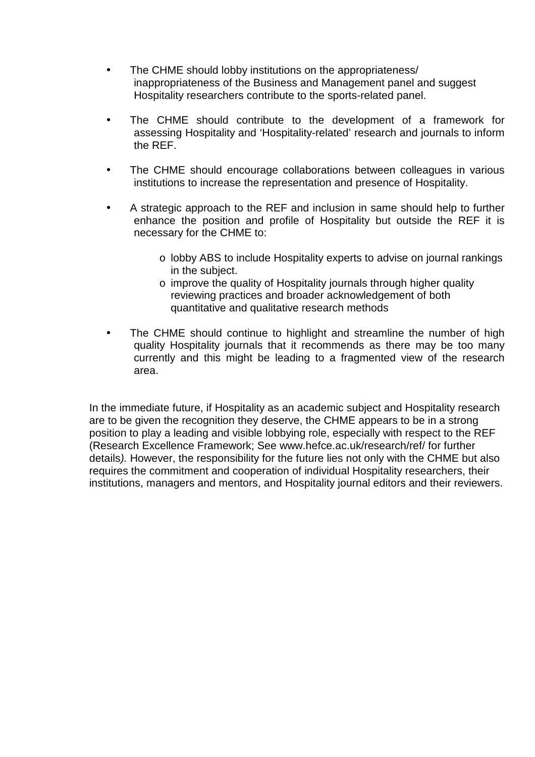- The CHME should lobby institutions on the appropriateness/ inappropriateness of the Business and Management panel and suggest Hospitality researchers contribute to the sports-related panel.
- The CHME should contribute to the development of a framework for assessing Hospitality and 'Hospitality-related' research and journals to inform the REF.
- The CHME should encourage collaborations between colleagues in various institutions to increase the representation and presence of Hospitality.
- A strategic approach to the REF and inclusion in same should help to further enhance the position and profile of Hospitality but outside the REF it is necessary for the CHME to:
	- o lobby ABS to include Hospitality experts to advise on journal rankings in the subject.
	- o improve the quality of Hospitality journals through higher quality reviewing practices and broader acknowledgement of both quantitative and qualitative research methods
- The CHME should continue to highlight and streamline the number of high quality Hospitality journals that it recommends as there may be too many currently and this might be leading to a fragmented view of the research area.

In the immediate future, if Hospitality as an academic subject and Hospitality research are to be given the recognition they deserve, the CHME appears to be in a strong position to play a leading and visible lobbying role, especially with respect to the REF (Research Excellence Framework; See www.hefce.ac.uk/research/ref/ for further details). However, the responsibility for the future lies not only with the CHME but also requires the commitment and cooperation of individual Hospitality researchers, their institutions, managers and mentors, and Hospitality journal editors and their reviewers.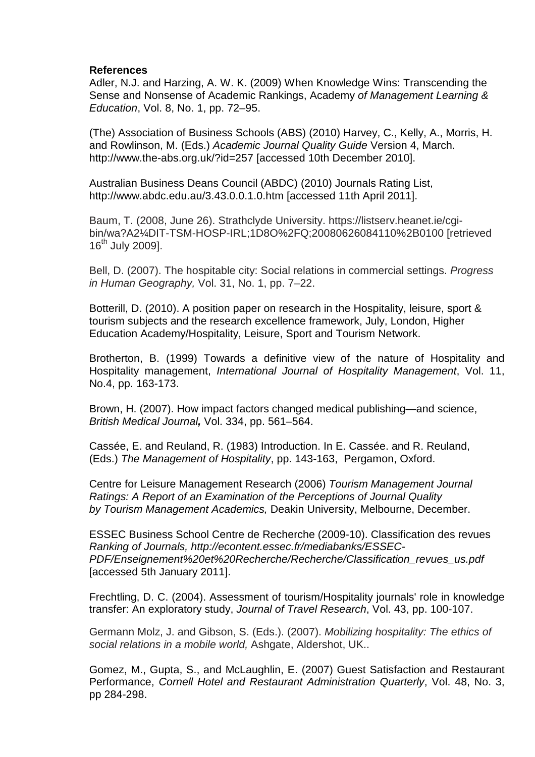#### **References**

Adler, N.J. and Harzing, A. W. K. (2009) When Knowledge Wins: Transcending the Sense and Nonsense of Academic Rankings, Academy of Management Learning & Education, Vol. 8, No. 1, pp. 72–95.

(The) Association of Business Schools (ABS) (2010) Harvey, C., Kelly, A., Morris, H. and Rowlinson, M. (Eds.) Academic Journal Quality Guide Version 4, March. http://www.the-abs.org.uk/?id=257 [accessed 10th December 2010].

Australian Business Deans Council (ABDC) (2010) Journals Rating List, http://www.abdc.edu.au/3.43.0.0.1.0.htm [accessed 11th April 2011].

Baum, T. (2008, June 26). Strathclyde University. https://listserv.heanet.ie/cgibin/wa?A2¼DIT-TSM-HOSP-IRL;1D8O%2FQ;20080626084110%2B0100 [retrieved  $16^{th}$  July 2009].

Bell, D. (2007). The hospitable city: Social relations in commercial settings. Progress in Human Geography, Vol. 31, No. 1, pp. 7–22.

Botterill, D. (2010). A position paper on research in the Hospitality, leisure, sport & tourism subjects and the research excellence framework, July, London, Higher Education Academy/Hospitality, Leisure, Sport and Tourism Network.

Brotherton, B. (1999) Towards a definitive view of the nature of Hospitality and Hospitality management, International Journal of Hospitality Management, Vol. 11, No.4, pp. 163-173.

Brown, H. (2007). How impact factors changed medical publishing—and science, British Medical Journal**,** Vol. 334, pp. 561–564.

Cassée, E. and Reuland, R. (1983) Introduction. In E. Cassée. and R. Reuland, (Eds.) The Management of Hospitality, pp. 143-163, Pergamon, Oxford.

Centre for Leisure Management Research (2006) Tourism Management Journal Ratings: A Report of an Examination of the Perceptions of Journal Quality by Tourism Management Academics, Deakin University, Melbourne, December.

ESSEC Business School Centre de Recherche (2009-10). Classification des revues Ranking of Journals, http://econtent.essec.fr/mediabanks/ESSEC-PDF/Enseignement%20et%20Recherche/Recherche/Classification\_revues\_us.pdf [accessed 5th January 2011].

Frechtling, D. C. (2004). Assessment of tourism/Hospitality journals' role in knowledge transfer: An exploratory study, Journal of Travel Research, Vol. 43, pp. 100-107.

Germann Molz, J. and Gibson, S. (Eds.). (2007). Mobilizing hospitality: The ethics of social relations in a mobile world, Ashgate, Aldershot, UK..

Gomez, M., Gupta, S., and McLaughlin, E. (2007) Guest Satisfaction and Restaurant Performance, Cornell Hotel and Restaurant Administration Quarterly, Vol. 48, No. 3, pp 284-298.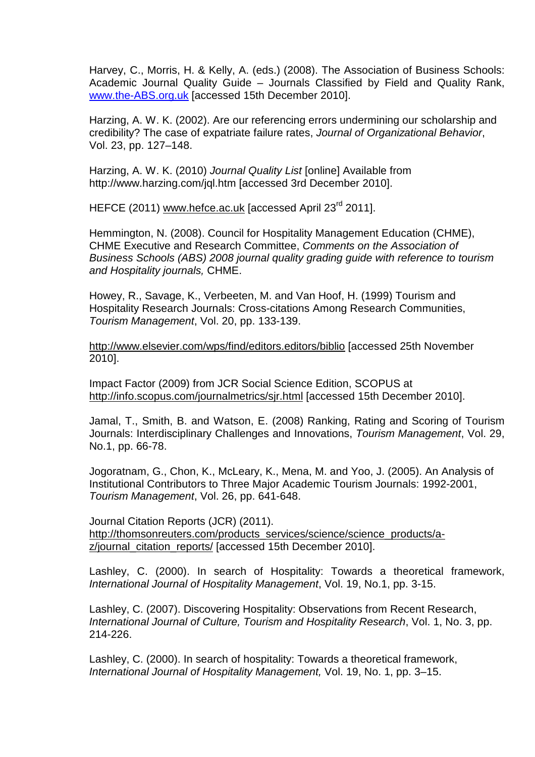Harvey, C., Morris, H. & Kelly, A. (eds.) (2008). The Association of Business Schools: Academic Journal Quality Guide – Journals Classified by Field and Quality Rank, www.the-ABS.org.uk [accessed 15th December 2010].

Harzing, A. W. K. (2002). Are our referencing errors undermining our scholarship and credibility? The case of expatriate failure rates, Journal of Organizational Behavior, Vol. 23, pp. 127–148.

Harzing, A. W. K. (2010) Journal Quality List [online] Available from http://www.harzing.com/jql.htm [accessed 3rd December 2010].

HEFCE (2011) www.hefce.ac.uk [accessed April 23<sup>rd</sup> 2011].

Hemmington, N. (2008). Council for Hospitality Management Education (CHME), CHME Executive and Research Committee, Comments on the Association of Business Schools (ABS) 2008 journal quality grading guide with reference to tourism and Hospitality journals, CHME.

Howey, R., Savage, K., Verbeeten, M. and Van Hoof, H. (1999) Tourism and Hospitality Research Journals: Cross-citations Among Research Communities, Tourism Management, Vol. 20, pp. 133-139.

http://www.elsevier.com/wps/find/editors.editors/biblio [accessed 25th November 2010].

Impact Factor (2009) from JCR Social Science Edition, SCOPUS at http://info.scopus.com/journalmetrics/sjr.html [accessed 15th December 2010].

Jamal, T., Smith, B. and Watson, E. (2008) Ranking, Rating and Scoring of Tourism Journals: Interdisciplinary Challenges and Innovations, Tourism Management, Vol. 29, No.1, pp. 66-78.

Jogoratnam, G., Chon, K., McLeary, K., Mena, M. and Yoo, J. (2005). An Analysis of Institutional Contributors to Three Major Academic Tourism Journals: 1992-2001, Tourism Management, Vol. 26, pp. 641-648.

Journal Citation Reports (JCR) (2011). http://thomsonreuters.com/products\_services/science/science\_products/az/journal\_citation\_reports/ [accessed 15th December 2010].

Lashley, C. (2000). In search of Hospitality: Towards a theoretical framework, International Journal of Hospitality Management, Vol. 19, No.1, pp. 3-15.

Lashley, C. (2007). Discovering Hospitality: Observations from Recent Research, International Journal of Culture, Tourism and Hospitality Research, Vol. 1, No. 3, pp. 214-226.

Lashley, C. (2000). In search of hospitality: Towards a theoretical framework, International Journal of Hospitality Management, Vol. 19, No. 1, pp. 3–15.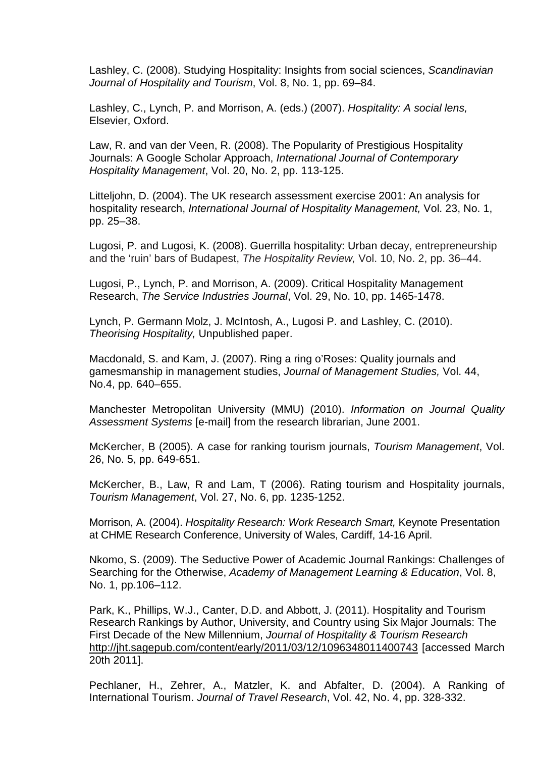Lashley, C. (2008). Studying Hospitality: Insights from social sciences, Scandinavian Journal of Hospitality and Tourism, Vol. 8, No. 1, pp. 69–84.

Lashley, C., Lynch, P. and Morrison, A. (eds.) (2007). Hospitality: A social lens, Elsevier, Oxford.

Law, R. and van der Veen, R. (2008). The Popularity of Prestigious Hospitality Journals: A Google Scholar Approach, International Journal of Contemporary Hospitality Management, Vol. 20, No. 2, pp. 113-125.

Litteljohn, D. (2004). The UK research assessment exercise 2001: An analysis for hospitality research, International Journal of Hospitality Management, Vol. 23, No. 1, pp. 25–38.

Lugosi, P. and Lugosi, K. (2008). Guerrilla hospitality: Urban decay, entrepreneurship and the 'ruin' bars of Budapest, The Hospitality Review, Vol. 10, No. 2, pp. 36–44.

Lugosi, P., Lynch, P. and Morrison, A. (2009). Critical Hospitality Management Research, The Service Industries Journal, Vol. 29, No. 10, pp. 1465-1478.

Lynch, P. Germann Molz, J. McIntosh, A., Lugosi P. and Lashley, C. (2010). Theorising Hospitality, Unpublished paper.

Macdonald, S. and Kam, J. (2007). Ring a ring o'Roses: Quality journals and gamesmanship in management studies, Journal of Management Studies, Vol. 44, No.4, pp. 640–655.

Manchester Metropolitan University (MMU) (2010). Information on Journal Quality Assessment Systems [e-mail] from the research librarian, June 2001.

McKercher, B (2005). A case for ranking tourism journals, Tourism Management, Vol. 26, No. 5, pp. 649-651.

McKercher, B., Law, R and Lam, T (2006). Rating tourism and Hospitality journals, Tourism Management, Vol. 27, No. 6, pp. 1235-1252.

Morrison, A. (2004). Hospitality Research: Work Research Smart, Keynote Presentation at CHME Research Conference, University of Wales, Cardiff, 14-16 April.

Nkomo, S. (2009). The Seductive Power of Academic Journal Rankings: Challenges of Searching for the Otherwise, Academy of Management Learning & Education, Vol. 8, No. 1, pp.106–112.

Park, K., Phillips, W.J., Canter, D.D. and Abbott, J. (2011). Hospitality and Tourism Research Rankings by Author, University, and Country using Six Major Journals: The First Decade of the New Millennium, Journal of Hospitality & Tourism Research http://jht.sagepub.com/content/early/2011/03/12/1096348011400743 [accessed March 20th 2011].

Pechlaner, H., Zehrer, A., Matzler, K. and Abfalter, D. (2004). A Ranking of International Tourism. Journal of Travel Research, Vol. 42, No. 4, pp. 328-332.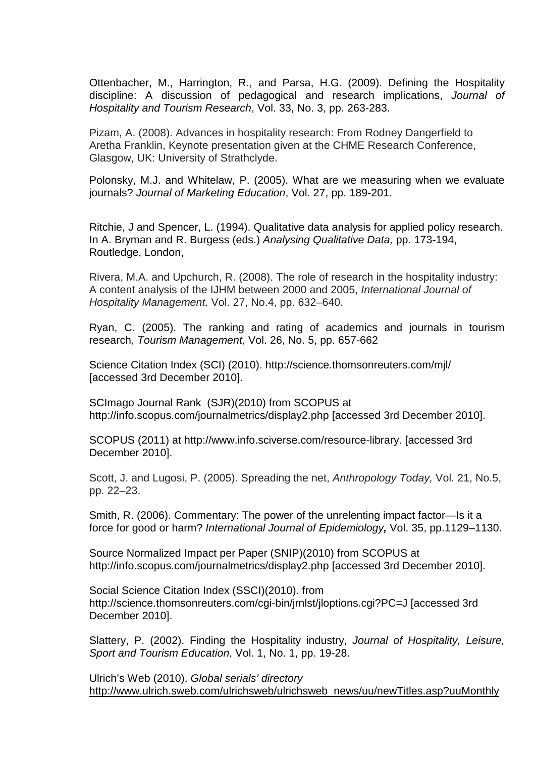Ottenbacher, M., Harrington, R., and Parsa, H.G. (2009). Defining the Hospitality discipline: A discussion of pedagogical and research implications, Journal of Hospitality and Tourism Research, Vol. 33, No. 3, pp. 263-283.

Pizam, A. (2008). Advances in hospitality research: From Rodney Dangerfield to Aretha Franklin, Keynote presentation given at the CHME Research Conference, Glasgow, UK: University of Strathclyde.

Polonsky, M.J. and Whitelaw, P. (2005). What are we measuring when we evaluate journals? Journal of Marketing Education, Vol. 27, pp. 189-201.

Ritchie, J and Spencer, L. (1994). Qualitative data analysis for applied policy research. In A. Bryman and R. Burgess (eds.) Analysing Qualitative Data, pp. 173-194, Routledge, London,

Rivera, M.A. and Upchurch, R. (2008). The role of research in the hospitality industry: A content analysis of the IJHM between 2000 and 2005, International Journal of Hospitality Management, Vol. 27, No.4, pp. 632–640.

Ryan, C. (2005). The ranking and rating of academics and journals in tourism research, Tourism Management, Vol. 26, No. 5, pp. 657-662

Science Citation Index (SCI) (2010). http://science.thomsonreuters.com/mjl/ [accessed 3rd December 2010].

SCImago Journal Rank (SJR)(2010) from SCOPUS at http://info.scopus.com/journalmetrics/display2.php [accessed 3rd December 2010].

SCOPUS (2011) at http://www.info.sciverse.com/resource-library. [accessed 3rd December 2010].

Scott, J. and Lugosi, P. (2005). Spreading the net, Anthropology Today, Vol. 21, No.5, pp. 22–23.

Smith, R. (2006). Commentary: The power of the unrelenting impact factor—Is it a force for good or harm? International Journal of Epidemiology**,** Vol. 35, pp.1129–1130.

Source Normalized Impact per Paper (SNIP)(2010) from SCOPUS at http://info.scopus.com/journalmetrics/display2.php [accessed 3rd December 2010].

Social Science Citation Index (SSCI)(2010). from http://science.thomsonreuters.com/cgi-bin/jrnlst/jloptions.cgi?PC=J [accessed 3rd December 2010].

Slattery, P. (2002). Finding the Hospitality industry, Journal of Hospitality, Leisure, Sport and Tourism Education, Vol. 1, No. 1, pp. 19-28.

Ulrich's Web (2010). Global serials' directory http://www.ulrich.sweb.com/ulrichsweb/ulrichsweb\_news/uu/newTitles.asp?uuMonthly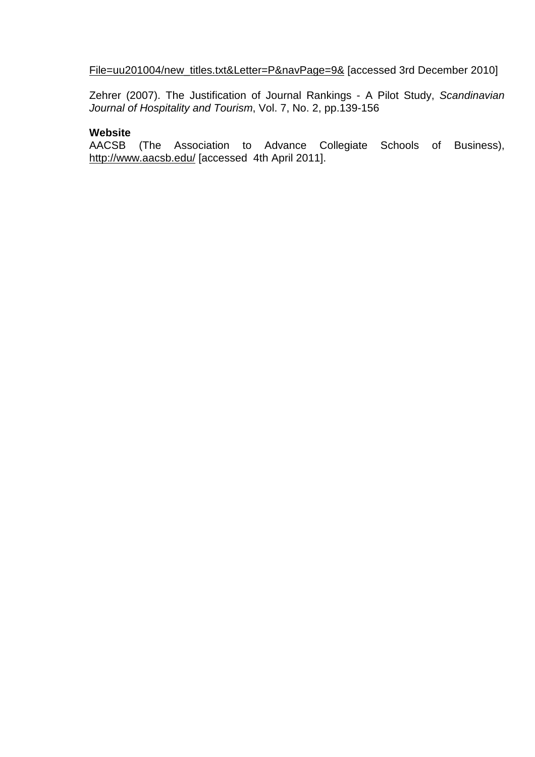File=uu201004/new\_titles.txt&Letter=P&navPage=9& [accessed 3rd December 2010]

Zehrer (2007). The Justification of Journal Rankings - A Pilot Study, Scandinavian Journal of Hospitality and Tourism, Vol. 7, No. 2, pp.139-156

#### **Website**

AACSB (The Association to Advance Collegiate Schools of Business), http://www.aacsb.edu/ [accessed 4th April 2011].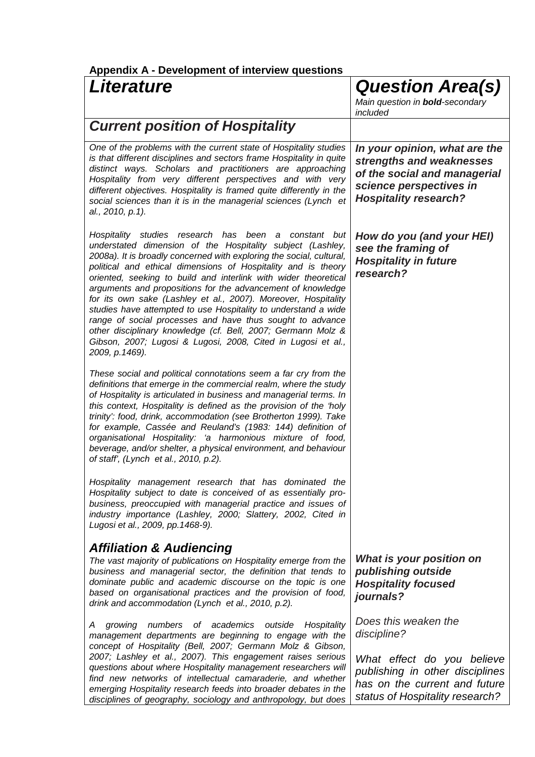| <b>Literature</b>                                                                                                                                                                                                                                                                                                                                                                                                                                                                                                                                                                                                                                                                                                                                      | <b>Question Area(s)</b><br>Main question in <b>bold-secondary</b><br>included                                                                                            |
|--------------------------------------------------------------------------------------------------------------------------------------------------------------------------------------------------------------------------------------------------------------------------------------------------------------------------------------------------------------------------------------------------------------------------------------------------------------------------------------------------------------------------------------------------------------------------------------------------------------------------------------------------------------------------------------------------------------------------------------------------------|--------------------------------------------------------------------------------------------------------------------------------------------------------------------------|
| <b>Current position of Hospitality</b>                                                                                                                                                                                                                                                                                                                                                                                                                                                                                                                                                                                                                                                                                                                 |                                                                                                                                                                          |
| One of the problems with the current state of Hospitality studies<br>is that different disciplines and sectors frame Hospitality in quite<br>distinct ways. Scholars and practitioners are approaching<br>Hospitality from very different perspectives and with very<br>different objectives. Hospitality is framed quite differently in the<br>social sciences than it is in the managerial sciences (Lynch et<br>al., 2010, p.1).                                                                                                                                                                                                                                                                                                                    | In your opinion, what are the<br>strengths and weaknesses<br>of the social and managerial<br>science perspectives in<br><b>Hospitality research?</b>                     |
| Hospitality studies research has been<br>constant but<br>a<br>understated dimension of the Hospitality subject (Lashley,<br>2008a). It is broadly concerned with exploring the social, cultural,<br>political and ethical dimensions of Hospitality and is theory<br>oriented, seeking to build and interlink with wider theoretical<br>arguments and propositions for the advancement of knowledge<br>for its own sake (Lashley et al., 2007). Moreover, Hospitality<br>studies have attempted to use Hospitality to understand a wide<br>range of social processes and have thus sought to advance<br>other disciplinary knowledge (cf. Bell, 2007; Germann Molz &<br>Gibson, 2007; Lugosi & Lugosi, 2008, Cited in Lugosi et al.,<br>2009, p.1469). | How do you (and your HEI)<br>see the framing of<br><b>Hospitality in future</b><br>research?                                                                             |
| These social and political connotations seem a far cry from the<br>definitions that emerge in the commercial realm, where the study<br>of Hospitality is articulated in business and managerial terms. In<br>this context, Hospitality is defined as the provision of the 'holy<br>trinity': food, drink, accommodation (see Brotherton 1999). Take<br>for example, Cassée and Reuland's (1983: 144) definition of<br>organisational Hospitality: 'a harmonious mixture of food,<br>beverage, and/or shelter, a physical environment, and behaviour<br>of staff', (Lynch et al., 2010, p.2).                                                                                                                                                           |                                                                                                                                                                          |
| Hospitality management research that has dominated the<br>Hospitality subject to date is conceived of as essentially pro-<br>business, preoccupied with managerial practice and issues of<br>industry importance (Lashley, 2000; Slattery, 2002, Cited in<br>Lugosi et al., 2009, pp. 1468-9).                                                                                                                                                                                                                                                                                                                                                                                                                                                         |                                                                                                                                                                          |
| <b>Affiliation &amp; Audiencing</b><br>The vast majority of publications on Hospitality emerge from the<br>business and managerial sector, the definition that tends to<br>dominate public and academic discourse on the topic is one<br>based on organisational practices and the provision of food,<br>drink and accommodation (Lynch et al., 2010, p.2).                                                                                                                                                                                                                                                                                                                                                                                            | What is your position on<br>publishing outside<br><b>Hospitality focused</b><br>journals?                                                                                |
| Hospitality<br>growing numbers of academics outside<br>Α<br>management departments are beginning to engage with the<br>concept of Hospitality (Bell, 2007; Germann Molz & Gibson,<br>2007; Lashley et al., 2007). This engagement raises serious<br>questions about where Hospitality management researchers will<br>find new networks of intellectual camaraderie, and whether<br>emerging Hospitality research feeds into broader debates in the<br>disciplines of geography, sociology and anthropology, but does                                                                                                                                                                                                                                   | Does this weaken the<br>discipline?<br>What effect do you believe<br>publishing in other disciplines<br>has on the current and future<br>status of Hospitality research? |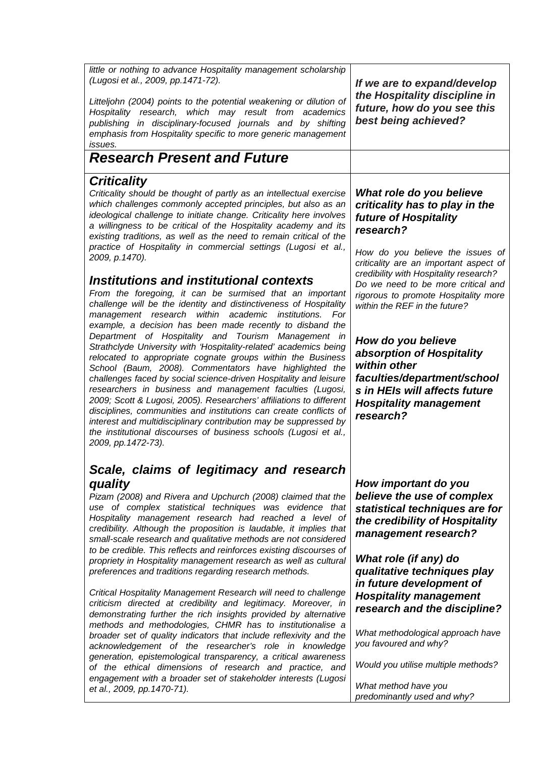little or nothing to advance Hospitality management scholarship (Lugosi et al., 2009, pp.1471-72). Litteljohn (2004) points to the potential weakening or dilution of Hospitality research, which may result from academics publishing in disciplinary-focused journals and by shifting emphasis from Hospitality specific to more generic management

# **Research Present and Future**

## **Criticality**

issues.

Criticality should be thought of partly as an intellectual exercise which challenges commonly accepted principles, but also as an ideological challenge to initiate change. Criticality here involves a willingness to be critical of the Hospitality academy and its existing traditions, as well as the need to remain critical of the practice of Hospitality in commercial settings (Lugosi et al., 2009, p.1470).

## **Institutions and institutional contexts**

From the foregoing, it can be surmised that an important challenge will be the identity and distinctiveness of Hospitality management research within academic institutions. For example, a decision has been made recently to disband the Department of Hospitality and Tourism Management in Strathclyde University with 'Hospitality-related' academics being relocated to appropriate cognate groups within the Business School (Baum, 2008). Commentators have highlighted the challenges faced by social science-driven Hospitality and leisure researchers in business and management faculties (Lugosi, 2009; Scott & Lugosi, 2005). Researchers' affiliations to different disciplines, communities and institutions can create conflicts of interest and multidisciplinary contribution may be suppressed by the institutional discourses of business schools (Lugosi et al., 2009, pp.1472-73).

## **Scale, claims of legitimacy and research quality**

Pizam (2008) and Rivera and Upchurch (2008) claimed that the use of complex statistical techniques was evidence that Hospitality management research had reached a level of credibility. Although the proposition is laudable, it implies that small-scale research and qualitative methods are not considered to be credible. This reflects and reinforces existing discourses of propriety in Hospitality management research as well as cultural preferences and traditions regarding research methods.

Critical Hospitality Management Research will need to challenge criticism directed at credibility and legitimacy. Moreover, in demonstrating further the rich insights provided by alternative methods and methodologies, CHMR has to institutionalise a broader set of quality indicators that include reflexivity and the acknowledgement of the researcher's role in knowledge generation, epistemological transparency, a critical awareness of the ethical dimensions of research and practice, and engagement with a broader set of stakeholder interests (Lugosi et al., 2009, pp.1470-71).

**If we are to expand/develop the Hospitality discipline in future, how do you see this best being achieved?**

#### **What role do you believe criticality has to play in the future of Hospitality research?**

How do you believe the issues of criticality are an important aspect of credibility with Hospitality research? Do we need to be more critical and rigorous to promote Hospitality more within the REF in the future?

**How do you believe absorption of Hospitality within other faculties/department/school s in HEIs will affects future Hospitality management research?** 

**How important do you believe the use of complex statistical techniques are for the credibility of Hospitality management research?** 

**What role (if any) do qualitative techniques play in future development of Hospitality management research and the discipline?** 

What methodological approach have you favoured and why?

Would you utilise multiple methods?

What method have you predominantly used and why?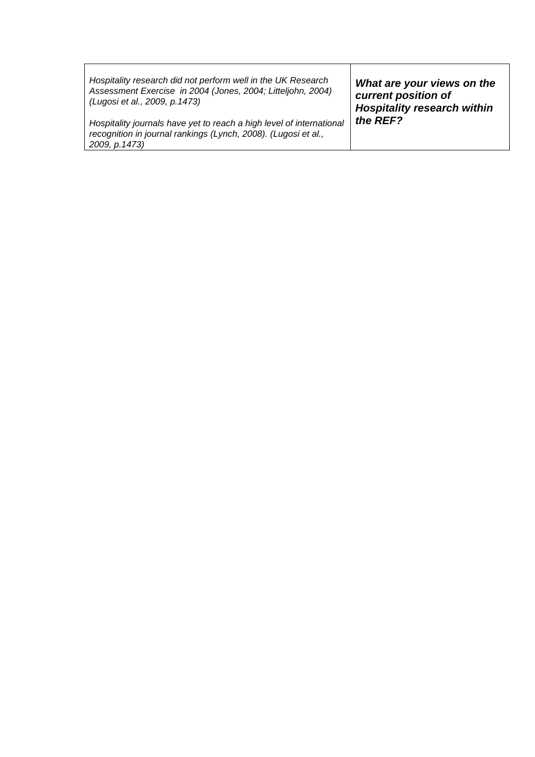| Hospitality research did not perform well in the UK Research                    | What are your views on the         |
|---------------------------------------------------------------------------------|------------------------------------|
| Assessment Exercise in 2004 (Jones, 2004; Litteljohn, 2004)                     | current position of                |
| (Lugosi et al., 2009, p.1473)                                                   | <b>Hospitality research within</b> |
| Hospitality journals have yet to reach a high level of international            | the REF?                           |
| recognition in journal rankings (Lynch, 2008). (Lugosi et al.,<br>2009, p.1473) |                                    |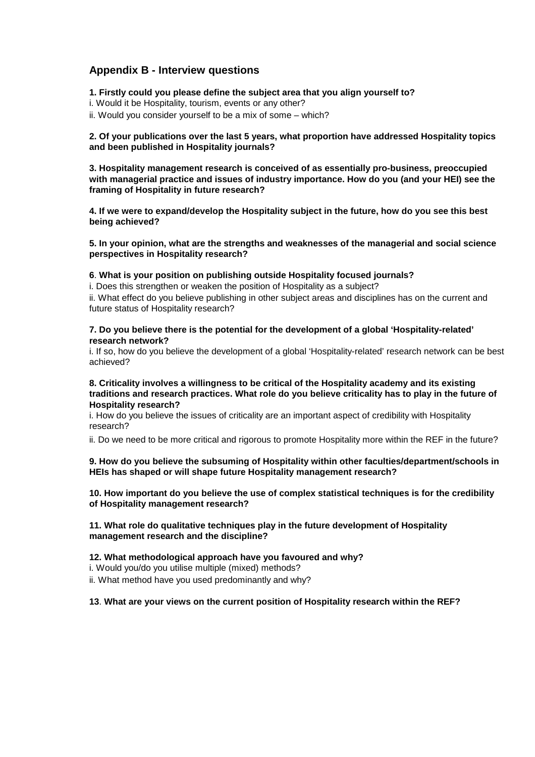#### **Appendix B - Interview questions**

**1. Firstly could you please define the subject area that you align yourself to?** 

- i. Would it be Hospitality, tourism, events or any other?
- ii. Would you consider yourself to be a mix of some which?

**2. Of your publications over the last 5 years, what proportion have addressed Hospitality topics and been published in Hospitality journals?** 

**3. Hospitality management research is conceived of as essentially pro-business, preoccupied with managerial practice and issues of industry importance. How do you (and your HEI) see the framing of Hospitality in future research?** 

**4. If we were to expand/develop the Hospitality subject in the future, how do you see this best being achieved?** 

**5. In your opinion, what are the strengths and weaknesses of the managerial and social science perspectives in Hospitality research?** 

#### **6**. **What is your position on publishing outside Hospitality focused journals?**

i. Does this strengthen or weaken the position of Hospitality as a subject?

ii. What effect do you believe publishing in other subject areas and disciplines has on the current and future status of Hospitality research?

#### **7. Do you believe there is the potential for the development of a global 'Hospitality-related' research network?**

i. If so, how do you believe the development of a global 'Hospitality-related' research network can be best achieved?

#### **8. Criticality involves a willingness to be critical of the Hospitality academy and its existing traditions and research practices. What role do you believe criticality has to play in the future of Hospitality research?**

i. How do you believe the issues of criticality are an important aspect of credibility with Hospitality research?

ii. Do we need to be more critical and rigorous to promote Hospitality more within the REF in the future?

#### **9. How do you believe the subsuming of Hospitality within other faculties/department/schools in HEIs has shaped or will shape future Hospitality management research?**

**10. How important do you believe the use of complex statistical techniques is for the credibility of Hospitality management research?** 

#### **11. What role do qualitative techniques play in the future development of Hospitality management research and the discipline?**

#### **12. What methodological approach have you favoured and why?**

i. Would you/do you utilise multiple (mixed) methods?

ii. What method have you used predominantly and why?

**13**. **What are your views on the current position of Hospitality research within the REF?**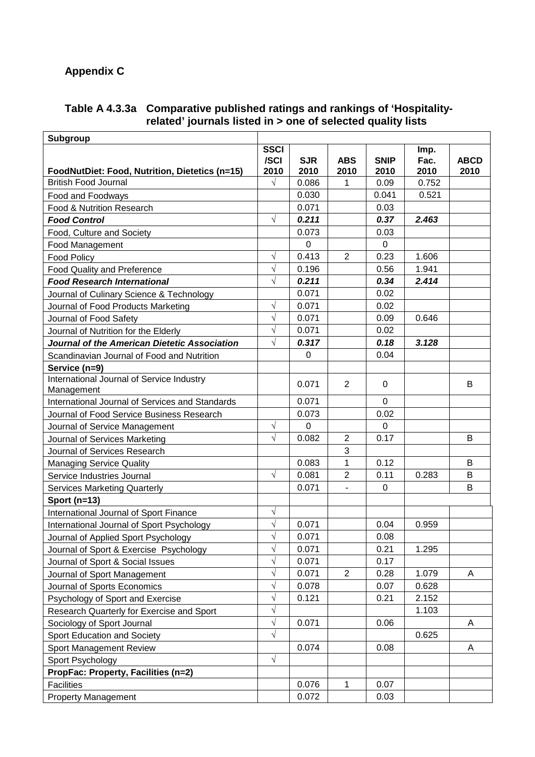# **Appendix C**

**Table A 4.3.3a Comparative published ratings and rankings of 'Hospitalityrelated' journals listed in > one of selected quality lists** 

| <b>Subgroup</b>                                 |             |             |                          |             |       |             |
|-------------------------------------------------|-------------|-------------|--------------------------|-------------|-------|-------------|
|                                                 | <b>SSCI</b> |             |                          |             | Imp.  |             |
|                                                 | /SCI        | <b>SJR</b>  | <b>ABS</b>               | <b>SNIP</b> | Fac.  | <b>ABCD</b> |
| FoodNutDiet: Food, Nutrition, Dietetics (n=15)  | 2010        | 2010        | 2010                     | 2010        | 2010  | 2010        |
| <b>British Food Journal</b>                     | $\sqrt{}$   | 0.086       | 1                        | 0.09        | 0.752 |             |
| Food and Foodways                               |             | 0.030       |                          | 0.041       | 0.521 |             |
| Food & Nutrition Research                       |             | 0.071       |                          | 0.03        |       |             |
| <b>Food Control</b>                             | $\sqrt{}$   | 0.211       |                          | 0.37        | 2.463 |             |
| Food, Culture and Society                       |             | 0.073       |                          | 0.03        |       |             |
| Food Management                                 |             | 0           |                          | $\Omega$    |       |             |
| <b>Food Policy</b>                              | V           | 0.413       | $\overline{2}$           | 0.23        | 1.606 |             |
| <b>Food Quality and Preference</b>              | $\sqrt{}$   | 0.196       |                          | 0.56        | 1.941 |             |
| <b>Food Research International</b>              | $\sqrt{}$   | 0.211       |                          | 0.34        | 2.414 |             |
| Journal of Culinary Science & Technology        |             | 0.071       |                          | 0.02        |       |             |
| Journal of Food Products Marketing              | $\sqrt{}$   | 0.071       |                          | 0.02        |       |             |
| Journal of Food Safety                          | $\sqrt{}$   | 0.071       |                          | 0.09        | 0.646 |             |
| Journal of Nutrition for the Elderly            | $\sqrt{}$   | 0.071       |                          | 0.02        |       |             |
| Journal of the American Dietetic Association    | $\sqrt{}$   | 0.317       |                          | 0.18        | 3.128 |             |
| Scandinavian Journal of Food and Nutrition      |             | 0           |                          | 0.04        |       |             |
| Service (n=9)                                   |             |             |                          |             |       |             |
| International Journal of Service Industry       |             | 0.071       | 2                        | $\mathbf 0$ |       | B           |
| Management                                      |             |             |                          |             |       |             |
| International Journal of Services and Standards |             | 0.071       |                          | 0           |       |             |
| Journal of Food Service Business Research       |             | 0.073       |                          | 0.02        |       |             |
| Journal of Service Management                   | $\sqrt{}$   | $\mathbf 0$ |                          | $\Omega$    |       |             |
| Journal of Services Marketing                   | $\sqrt{}$   | 0.082       | $\overline{2}$           | 0.17        |       | B           |
| Journal of Services Research                    |             |             | 3                        |             |       |             |
| <b>Managing Service Quality</b>                 |             | 0.083       | 1                        | 0.12        |       | B           |
| Service Industries Journal                      | $\sqrt{}$   | 0.081       | $\overline{2}$           | 0.11        | 0.283 | B           |
| <b>Services Marketing Quarterly</b>             |             | 0.071       | $\overline{\phantom{a}}$ | $\mathbf 0$ |       | B           |
| Sport (n=13)                                    |             |             |                          |             |       |             |
| International Journal of Sport Finance          | $\sqrt{}$   |             |                          |             |       |             |
| International Journal of Sport Psychology       | $\sqrt{}$   | 0.071       |                          | 0.04        | 0.959 |             |
| Journal of Applied Sport Psychology             | V           | 0.071       |                          | 0.08        |       |             |
| Journal of Sport & Exercise Psychology          | $\sqrt{}$   | 0.071       |                          | 0.21        | 1.295 |             |
| Journal of Sport & Social Issues                | $\sqrt{}$   | 0.071       |                          | 0.17        |       |             |
| Journal of Sport Management                     | $\sqrt{}$   | 0.071       | $\overline{2}$           | 0.28        | 1.079 | A           |
| Journal of Sports Economics                     | $\sqrt{}$   | 0.078       |                          | 0.07        | 0.628 |             |
| Psychology of Sport and Exercise                | $\sqrt{}$   | 0.121       |                          | 0.21        | 2.152 |             |
| Research Quarterly for Exercise and Sport       | $\sqrt{}$   |             |                          |             | 1.103 |             |
| Sociology of Sport Journal                      | $\sqrt{}$   | 0.071       |                          | 0.06        |       | A           |
| Sport Education and Society                     | $\sqrt{}$   |             |                          |             | 0.625 |             |
| <b>Sport Management Review</b>                  |             | 0.074       |                          | 0.08        |       | Α           |
| Sport Psychology                                | $\sqrt{}$   |             |                          |             |       |             |
| <b>PropFac: Property, Facilities (n=2)</b>      |             |             |                          |             |       |             |
| Facilities                                      |             | 0.076       | 1                        | 0.07        |       |             |
| <b>Property Management</b>                      |             | 0.072       |                          | 0.03        |       |             |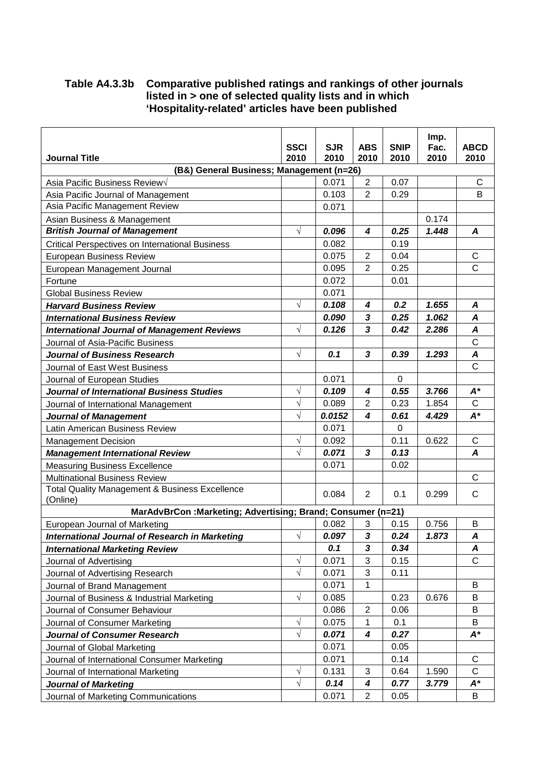#### **Table A4.3.3b Comparative published ratings and rankings of other journals listed in > one of selected quality lists and in which 'Hospitality-related' articles have been published**

|                                                                  |             |            |                |             | Imp.  |                |
|------------------------------------------------------------------|-------------|------------|----------------|-------------|-------|----------------|
|                                                                  | <b>SSCI</b> | <b>SJR</b> | <b>ABS</b>     | <b>SNIP</b> | Fac.  | <b>ABCD</b>    |
| <b>Journal Title</b><br>(B&) General Business; Management (n=26) | 2010        | 2010       | 2010           | 2010        | 2010  | 2010           |
| Asia Pacific Business Review√                                    |             | 0.071      | $\overline{2}$ | 0.07        |       | C              |
| Asia Pacific Journal of Management                               |             | 0.103      | $\overline{2}$ | 0.29        |       | B              |
| Asia Pacific Management Review                                   |             | 0.071      |                |             |       |                |
| Asian Business & Management                                      |             |            |                |             | 0.174 |                |
| <b>British Journal of Management</b>                             | $\sqrt{}$   | 0.096      | 4              | 0.25        | 1.448 | A              |
| <b>Critical Perspectives on International Business</b>           |             | 0.082      |                | 0.19        |       |                |
| <b>European Business Review</b>                                  |             | 0.075      | $\overline{2}$ | 0.04        |       | C              |
| European Management Journal                                      |             | 0.095      | $\overline{2}$ | 0.25        |       | C              |
| Fortune                                                          |             | 0.072      |                | 0.01        |       |                |
| <b>Global Business Review</b>                                    |             | 0.071      |                |             |       |                |
| <b>Harvard Business Review</b>                                   | $\sqrt{}$   | 0.108      | 4              | 0.2         | 1.655 | A              |
| <b>International Business Review</b>                             |             | 0.090      | 3              | 0.25        | 1.062 | A              |
| <b>International Journal of Management Reviews</b>               | $\sqrt{}$   | 0.126      | 3              | 0.42        | 2.286 | A              |
| Journal of Asia-Pacific Business                                 |             |            |                |             |       | $\overline{C}$ |
| <b>Journal of Business Research</b>                              | $\sqrt{}$   | 0.1        | 3              | 0.39        | 1.293 | A              |
| Journal of East West Business                                    |             |            |                |             |       | $\mathsf{C}$   |
| Journal of European Studies                                      |             | 0.071      |                | $\mathbf 0$ |       |                |
| Journal of International Business Studies                        | $\sqrt{}$   | 0.109      | 4              | 0.55        | 3.766 | $A^*$          |
| Journal of International Management                              | $\sqrt{}$   | 0.089      | 2              | 0.23        | 1.854 | $\mathsf{C}$   |
| <b>Journal of Management</b>                                     | $\sqrt{}$   | 0.0152     | 4              | 0.61        | 4.429 | $A^*$          |
| Latin American Business Review                                   |             | 0.071      |                | 0           |       |                |
| <b>Management Decision</b>                                       | $\sqrt{}$   | 0.092      |                | 0.11        | 0.622 | $\mathsf{C}$   |
| <b>Management International Review</b>                           | $\sqrt{}$   | 0.071      | 3              | 0.13        |       | A              |
| <b>Measuring Business Excellence</b>                             |             | 0.071      |                | 0.02        |       |                |
| <b>Multinational Business Review</b>                             |             |            |                |             |       | $\mathsf{C}$   |
| Total Quality Management & Business Excellence<br>(Online)       |             | 0.084      | 2              | 0.1         | 0.299 | $\mathsf{C}$   |
| MarAdvBrCon: Marketing; Advertising; Brand; Consumer (n=21)      |             |            |                |             |       |                |
| European Journal of Marketing                                    |             | 0.082      | 3              | 0.15        | 0.756 | B              |
| <b>International Journal of Research in Marketing</b>            | $\sqrt{}$   | 0.097      | 3              | 0.24        | 1.873 | A              |
| <b>International Marketing Review</b>                            |             | 0.1        | 3              | 0.34        |       | A              |
| Journal of Advertising                                           | $\sqrt{}$   | 0.071      | 3              | 0.15        |       | $\mathsf{C}$   |
| Journal of Advertising Research                                  | $\sqrt{}$   | 0.071      | 3              | 0.11        |       |                |
| Journal of Brand Management                                      |             | 0.071      | 1              |             |       | B              |
| Journal of Business & Industrial Marketing                       | $\sqrt{}$   | 0.085      |                | 0.23        | 0.676 | B              |
| Journal of Consumer Behaviour                                    |             | 0.086      | $\overline{2}$ | 0.06        |       | B              |
| Journal of Consumer Marketing                                    | $\sqrt{}$   | 0.075      | 1              | 0.1         |       | B              |
| <b>Journal of Consumer Research</b>                              | $\sqrt{}$   | 0.071      | 4              | 0.27        |       | $A^*$          |
| Journal of Global Marketing                                      |             | 0.071      |                | 0.05        |       |                |
| Journal of International Consumer Marketing                      |             | 0.071      |                | 0.14        |       | C              |
| Journal of International Marketing                               | $\sqrt{}$   | 0.131      | 3              | 0.64        | 1.590 | $\mathsf{C}$   |
| <b>Journal of Marketing</b>                                      | $\sqrt{}$   | 0.14       | 4              | 0.77        | 3.779 | A*             |
| Journal of Marketing Communications                              |             | 0.071      | $\overline{2}$ | 0.05        |       | B              |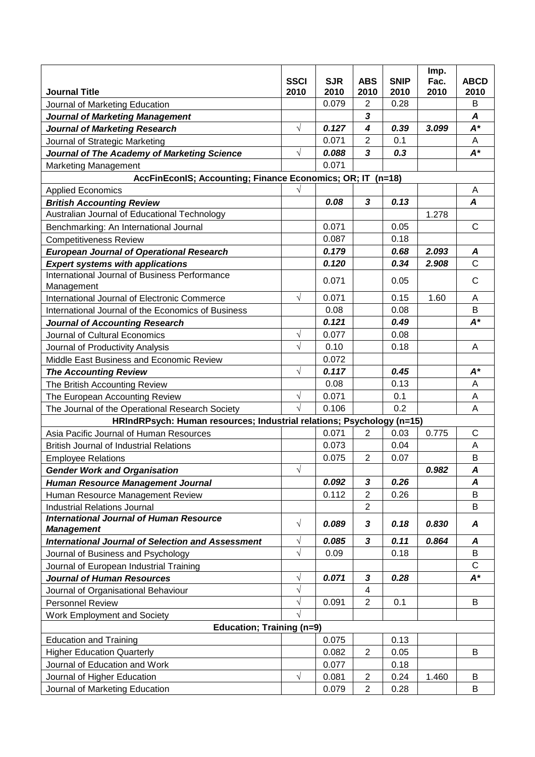|                                                                       | <b>SSCI</b> | <b>SJR</b> | <b>ABS</b>     | <b>SNIP</b> | Imp.<br>Fac. | <b>ABCD</b>      |
|-----------------------------------------------------------------------|-------------|------------|----------------|-------------|--------------|------------------|
| <b>Journal Title</b>                                                  | 2010        | 2010       | 2010           | 2010        | 2010         | 2010             |
| Journal of Marketing Education                                        |             | 0.079      | $\overline{2}$ | 0.28        |              | B                |
| <b>Journal of Marketing Management</b>                                |             |            | $\mathbf{3}$   |             |              | A                |
| <b>Journal of Marketing Research</b>                                  | $\sqrt{}$   | 0.127      | 4              | 0.39        | 3.099        | $A^*$            |
| Journal of Strategic Marketing                                        |             | 0.071      | $\overline{2}$ | 0.1         |              | A                |
| Journal of The Academy of Marketing Science                           | $\sqrt{}$   | 0.088      | 3              | 0.3         |              | $A^*$            |
| <b>Marketing Management</b>                                           |             | 0.071      |                |             |              |                  |
| AccFinEconIS; Accounting; Finance Economics; OR; IT (n=18)            | V           |            |                |             |              | A                |
| <b>Applied Economics</b><br><b>British Accounting Review</b>          |             | 0.08       | 3              | 0.13        |              | $\boldsymbol{A}$ |
| Australian Journal of Educational Technology                          |             |            |                |             | 1.278        |                  |
| Benchmarking: An International Journal                                |             | 0.071      |                | 0.05        |              | C                |
| <b>Competitiveness Review</b>                                         |             | 0.087      |                | 0.18        |              |                  |
| <b>European Journal of Operational Research</b>                       |             | 0.179      |                | 0.68        | 2.093        | A                |
| <b>Expert systems with applications</b>                               |             | 0.120      |                | 0.34        | 2.908        | $\mathsf{C}$     |
| International Journal of Business Performance                         |             |            |                |             |              |                  |
| Management                                                            |             | 0.071      |                | 0.05        |              | $\mathsf{C}$     |
| International Journal of Electronic Commerce                          | $\sqrt{}$   | 0.071      |                | 0.15        | 1.60         | A                |
| International Journal of the Economics of Business                    |             | 0.08       |                | 0.08        |              | B                |
| <b>Journal of Accounting Research</b>                                 |             | 0.121      |                | 0.49        |              | $A^*$            |
| Journal of Cultural Economics                                         | $\sqrt{}$   | 0.077      |                | 0.08        |              |                  |
| Journal of Productivity Analysis                                      | $\sqrt{}$   | 0.10       |                | 0.18        |              | A                |
| Middle East Business and Economic Review                              |             | 0.072      |                |             |              |                  |
| <b>The Accounting Review</b>                                          | $\sqrt{}$   | 0.117      |                | 0.45        |              | $A^*$            |
| The British Accounting Review                                         |             | 0.08       |                | 0.13        |              | A                |
| The European Accounting Review                                        | $\sqrt{}$   | 0.071      |                | 0.1         |              | A                |
| The Journal of the Operational Research Society                       | $\sqrt{ }$  | 0.106      |                | 0.2         |              | A                |
| HRIndRPsych: Human resources; Industrial relations; Psychology (n=15) |             |            |                |             |              |                  |
| Asia Pacific Journal of Human Resources                               |             | 0.071      | $\overline{2}$ | 0.03        | 0.775        | $\mathsf{C}$     |
| <b>British Journal of Industrial Relations</b>                        |             | 0.073      |                | 0.04        |              | A                |
| <b>Employee Relations</b>                                             |             | 0.075      | $\overline{2}$ | 0.07        |              | B                |
| <b>Gender Work and Organisation</b>                                   | V           |            |                |             | 0.982        | A                |
| Human Resource Management Journal                                     |             | 0.092      | 3              | 0.26        |              | A                |
| Human Resource Management Review                                      |             | 0.112      | $\overline{2}$ | 0.26        |              | B                |
| <b>Industrial Relations Journal</b>                                   |             |            | $\overline{2}$ |             |              | B                |
| <b>International Journal of Human Resource</b><br><b>Management</b>   | $\sqrt{}$   | 0.089      | 3              | 0.18        | 0.830        | A                |
| <b>International Journal of Selection and Assessment</b>              | $\sqrt{}$   | 0.085      | 3              | 0.11        | 0.864        | A                |
| Journal of Business and Psychology                                    | $\sqrt{}$   | 0.09       |                | 0.18        |              | B                |
| Journal of European Industrial Training                               |             |            |                |             |              | $\mathsf{C}$     |
| <b>Journal of Human Resources</b>                                     | V           | 0.071      | 3              | 0.28        |              | $A^*$            |
| Journal of Organisational Behaviour                                   | $\sqrt{}$   |            | 4              |             |              |                  |
| <b>Personnel Review</b>                                               | $\sqrt{}$   | 0.091      | $\overline{2}$ | 0.1         |              | B                |
| Work Employment and Society                                           | √           |            |                |             |              |                  |
| Education; Training (n=9)                                             |             |            |                |             |              |                  |
| <b>Education and Training</b>                                         |             | 0.075      |                | 0.13        |              |                  |
| <b>Higher Education Quarterly</b>                                     |             | 0.082      | $\overline{2}$ | 0.05        |              | B                |
| Journal of Education and Work                                         |             | 0.077      |                | 0.18        |              |                  |
| Journal of Higher Education                                           | $\sqrt{}$   | 0.081      | $\overline{2}$ | 0.24        | 1.460        | B                |
| Journal of Marketing Education                                        |             | 0.079      | $\overline{2}$ | 0.28        |              | B                |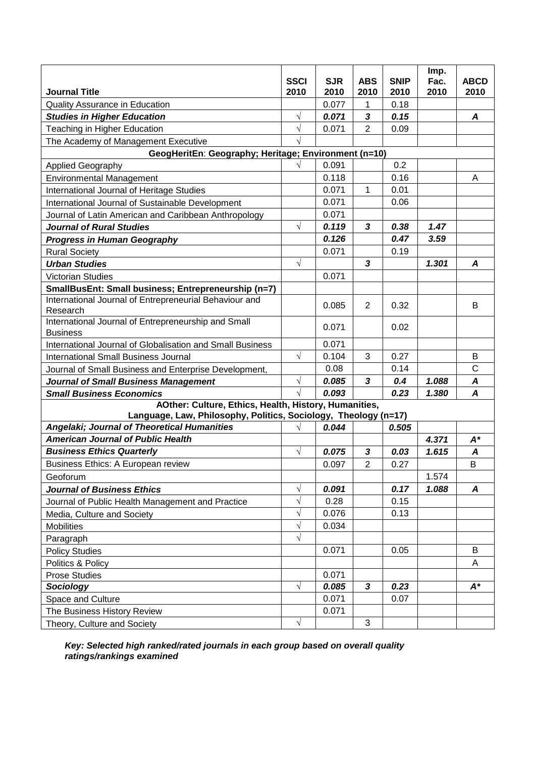|                                                                                                                          |                     |                    |                    |                     | Imp.         |                     |
|--------------------------------------------------------------------------------------------------------------------------|---------------------|--------------------|--------------------|---------------------|--------------|---------------------|
| <b>Journal Title</b>                                                                                                     | <b>SSCI</b><br>2010 | <b>SJR</b><br>2010 | <b>ABS</b><br>2010 | <b>SNIP</b><br>2010 | Fac.<br>2010 | <b>ABCD</b><br>2010 |
| Quality Assurance in Education                                                                                           |                     | 0.077              | 1                  | 0.18                |              |                     |
| <b>Studies in Higher Education</b>                                                                                       | $\sqrt{}$           | 0.071              | 3                  | 0.15                |              | A                   |
| Teaching in Higher Education                                                                                             | $\sqrt{2}$          | 0.071              | $\overline{2}$     | 0.09                |              |                     |
| The Academy of Management Executive                                                                                      |                     |                    |                    |                     |              |                     |
| GeogHeritEn: Geography; Heritage; Environment (n=10)                                                                     |                     |                    |                    |                     |              |                     |
| <b>Applied Geography</b>                                                                                                 |                     | 0.091              |                    | 0.2                 |              |                     |
| <b>Environmental Management</b>                                                                                          |                     | 0.118              |                    | 0.16                |              | A                   |
| International Journal of Heritage Studies                                                                                |                     | 0.071              | 1                  | 0.01                |              |                     |
| International Journal of Sustainable Development                                                                         |                     | 0.071              |                    | 0.06                |              |                     |
| Journal of Latin American and Caribbean Anthropology                                                                     |                     | 0.071              |                    |                     |              |                     |
| <b>Journal of Rural Studies</b>                                                                                          | $\sqrt{}$           | 0.119              | 3                  | 0.38                | 1.47         |                     |
| <b>Progress in Human Geography</b>                                                                                       |                     | 0.126              |                    | 0.47                | 3.59         |                     |
| <b>Rural Society</b>                                                                                                     |                     | 0.071              |                    | 0.19                |              |                     |
| <b>Urban Studies</b>                                                                                                     | $\sqrt{}$           |                    | 3                  |                     | 1.301        | A                   |
| <b>Victorian Studies</b>                                                                                                 |                     | 0.071              |                    |                     |              |                     |
| SmallBusEnt: Small business; Entrepreneurship (n=7)                                                                      |                     |                    |                    |                     |              |                     |
| International Journal of Entrepreneurial Behaviour and                                                                   |                     | 0.085              | 2                  | 0.32                |              | B                   |
| Research                                                                                                                 |                     |                    |                    |                     |              |                     |
| International Journal of Entrepreneurship and Small                                                                      |                     | 0.071              |                    | 0.02                |              |                     |
| <b>Business</b>                                                                                                          |                     |                    |                    |                     |              |                     |
| International Journal of Globalisation and Small Business                                                                |                     | 0.071              |                    |                     |              |                     |
| <b>International Small Business Journal</b>                                                                              | $\sqrt{}$           | 0.104              | 3                  | 0.27                |              | B                   |
| Journal of Small Business and Enterprise Development,                                                                    |                     | 0.08               |                    | 0.14                |              | $\mathsf{C}$        |
| <b>Journal of Small Business Management</b>                                                                              | $\sqrt{}$           | 0.085              | 3                  | 0.4                 | 1.088        | A                   |
| <b>Small Business Economics</b>                                                                                          | $\sqrt{}$           | 0.093              |                    | 0.23                | 1.380        | $\boldsymbol{A}$    |
| AOther: Culture, Ethics, Health, History, Humanities,<br>Language, Law, Philosophy, Politics, Sociology, Theology (n=17) |                     |                    |                    |                     |              |                     |
| Angelaki; Journal of Theoretical Humanities                                                                              | V                   | 0.044              |                    | 0.505               |              |                     |
| <b>American Journal of Public Health</b>                                                                                 |                     |                    |                    |                     | 4.371        | $A^*$               |
| <b>Business Ethics Quarterly</b>                                                                                         | $\sqrt{}$           | 0.075              | 3                  | 0.03                | 1.615        | A                   |
| Business Ethics: A European review                                                                                       |                     | 0.097              | $\overline{2}$     | 0.27                |              | B                   |
| Geoforum                                                                                                                 |                     |                    |                    |                     | 1.574        |                     |
| <b>Journal of Business Ethics</b>                                                                                        | $\sqrt{}$           | 0.091              |                    | 0.17                | 1.088        | A                   |
| Journal of Public Health Management and Practice                                                                         | $\sqrt{}$           | 0.28               |                    | 0.15                |              |                     |
| Media, Culture and Society                                                                                               | $\sqrt{}$           | 0.076              |                    | 0.13                |              |                     |
| <b>Mobilities</b>                                                                                                        | $\sqrt{}$           | 0.034              |                    |                     |              |                     |
| Paragraph                                                                                                                | $\sqrt{}$           |                    |                    |                     |              |                     |
| <b>Policy Studies</b>                                                                                                    |                     | 0.071              |                    | 0.05                |              | B                   |
| Politics & Policy                                                                                                        |                     |                    |                    |                     |              | A                   |
| <b>Prose Studies</b>                                                                                                     |                     | 0.071              |                    |                     |              |                     |
| Sociology                                                                                                                | $\sqrt{}$           | 0.085              | $\mathbf{3}$       | 0.23                |              | $A^*$               |
| Space and Culture                                                                                                        |                     | 0.071              |                    | 0.07                |              |                     |
| The Business History Review                                                                                              |                     | 0.071              |                    |                     |              |                     |
| Theory, Culture and Society                                                                                              | $\sqrt{}$           |                    | $\sqrt{3}$         |                     |              |                     |

**Key: Selected high ranked/rated journals in each group based on overall quality ratings/rankings examined**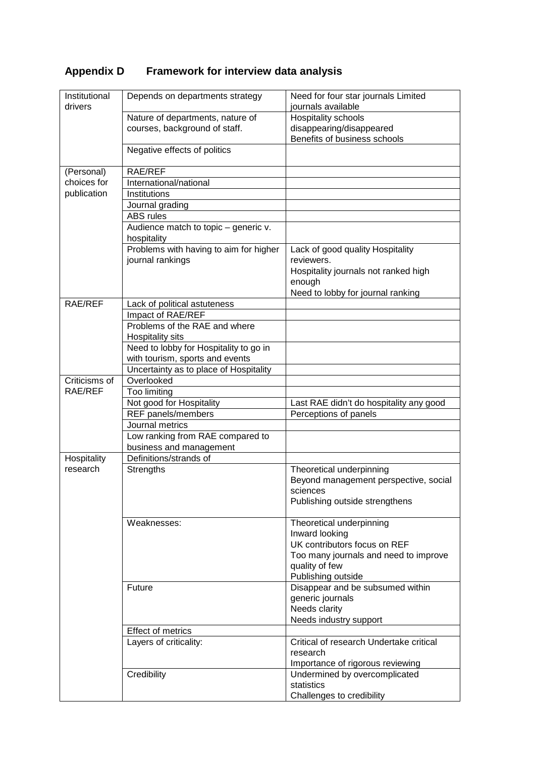# **Appendix D Framework for interview data analysis**

| Institutional<br>drivers | Depends on departments strategy                       | Need for four star journals Limited<br>journals available         |
|--------------------------|-------------------------------------------------------|-------------------------------------------------------------------|
|                          | Nature of departments, nature of                      | Hospitality schools                                               |
|                          | courses, background of staff.                         | disappearing/disappeared                                          |
|                          |                                                       | Benefits of business schools                                      |
|                          | Negative effects of politics                          |                                                                   |
| (Personal)               | RAE/REF                                               |                                                                   |
| choices for              | International/national                                |                                                                   |
| publication              | Institutions                                          |                                                                   |
|                          | Journal grading                                       |                                                                   |
|                          | <b>ABS</b> rules                                      |                                                                   |
|                          | Audience match to topic - generic v.                  |                                                                   |
|                          | hospitality<br>Problems with having to aim for higher | Lack of good quality Hospitality                                  |
|                          | journal rankings                                      | reviewers.                                                        |
|                          |                                                       | Hospitality journals not ranked high                              |
|                          |                                                       | enough                                                            |
|                          |                                                       | Need to lobby for journal ranking                                 |
| RAE/REF                  | Lack of political astuteness                          |                                                                   |
|                          | Impact of RAE/REF                                     |                                                                   |
|                          | Problems of the RAE and where                         |                                                                   |
|                          | Hospitality sits                                      |                                                                   |
|                          | Need to lobby for Hospitality to go in                |                                                                   |
|                          | with tourism, sports and events                       |                                                                   |
|                          | Uncertainty as to place of Hospitality                |                                                                   |
| Criticisms of            | Overlooked                                            |                                                                   |
| RAE/REF                  | Too limiting                                          |                                                                   |
|                          | Not good for Hospitality                              | Last RAE didn't do hospitality any good                           |
|                          | REF panels/members                                    | Perceptions of panels                                             |
|                          | Journal metrics                                       |                                                                   |
|                          | Low ranking from RAE compared to                      |                                                                   |
|                          | business and management                               |                                                                   |
| Hospitality<br>research  | Definitions/strands of                                |                                                                   |
|                          | Strengths                                             | Theoretical underpinning<br>Beyond management perspective, social |
|                          |                                                       | sciences                                                          |
|                          |                                                       | Publishing outside strengthens                                    |
|                          |                                                       |                                                                   |
|                          | Weaknesses:                                           | Theoretical underpinning                                          |
|                          |                                                       | Inward looking                                                    |
|                          |                                                       | UK contributors focus on REF                                      |
|                          |                                                       | Too many journals and need to improve                             |
|                          |                                                       | quality of few                                                    |
|                          |                                                       | Publishing outside                                                |
|                          | Future                                                | Disappear and be subsumed within                                  |
|                          |                                                       | generic journals                                                  |
|                          |                                                       | Needs clarity                                                     |
|                          |                                                       | Needs industry support                                            |
|                          | Effect of metrics                                     |                                                                   |
|                          | Layers of criticality:                                | Critical of research Undertake critical<br>research               |
|                          |                                                       | Importance of rigorous reviewing                                  |
|                          | Credibility                                           | Undermined by overcomplicated                                     |
|                          |                                                       | statistics                                                        |
|                          |                                                       | Challenges to credibility                                         |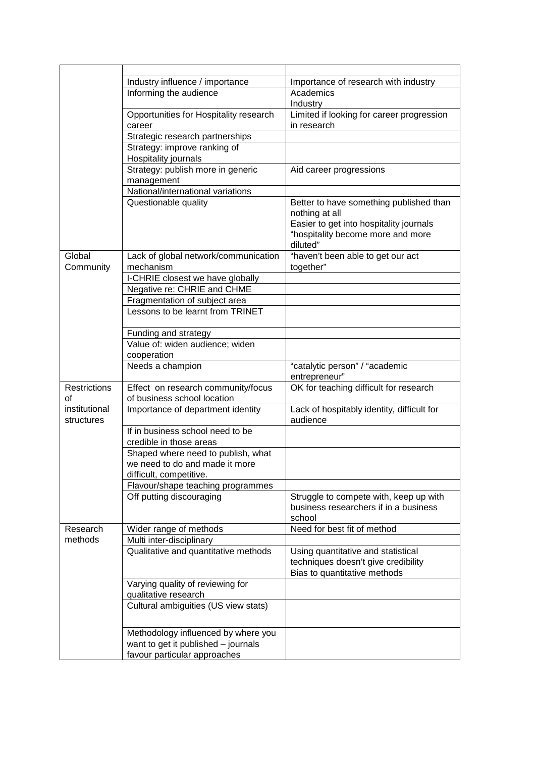|                     | Industry influence / importance        | Importance of research with industry                      |
|---------------------|----------------------------------------|-----------------------------------------------------------|
|                     | Informing the audience                 | Academics                                                 |
|                     |                                        | Industry                                                  |
|                     | Opportunities for Hospitality research | Limited if looking for career progression                 |
|                     | career                                 | in research                                               |
|                     | Strategic research partnerships        |                                                           |
|                     | Strategy: improve ranking of           |                                                           |
|                     | Hospitality journals                   |                                                           |
|                     | Strategy: publish more in generic      | Aid career progressions                                   |
|                     | management                             |                                                           |
|                     | National/international variations      |                                                           |
|                     | Questionable quality                   | Better to have something published than<br>nothing at all |
|                     |                                        | Easier to get into hospitality journals                   |
|                     |                                        | "hospitality become more and more                         |
|                     |                                        | diluted"                                                  |
| Global              | Lack of global network/communication   | "haven't been able to get our act                         |
| Community           | mechanism                              | together"                                                 |
|                     | I-CHRIE closest we have globally       |                                                           |
|                     | Negative re: CHRIE and CHME            |                                                           |
|                     | Fragmentation of subject area          |                                                           |
|                     | Lessons to be learnt from TRINET       |                                                           |
|                     |                                        |                                                           |
|                     | Funding and strategy                   |                                                           |
|                     | Value of: widen audience; widen        |                                                           |
|                     | cooperation                            |                                                           |
|                     | Needs a champion                       | "catalytic person" / "academic                            |
|                     |                                        | entrepreneur"                                             |
| <b>Restrictions</b> | Effect on research community/focus     | OK for teaching difficult for research                    |
| οf                  | of business school location            |                                                           |
| institutional       | Importance of department identity      | Lack of hospitably identity, difficult for                |
| structures          |                                        | audience                                                  |
|                     | If in business school need to be       |                                                           |
|                     | credible in those areas                |                                                           |
|                     | Shaped where need to publish, what     |                                                           |
|                     | we need to do and made it more         |                                                           |
|                     | difficult, competitive.                |                                                           |
|                     | Flavour/shape teaching programmes      |                                                           |
|                     | Off putting discouraging               | Struggle to compete with, keep up with                    |
|                     |                                        | business researchers if in a business                     |
|                     |                                        | school                                                    |
| Research            | Wider range of methods                 | Need for best fit of method                               |
| methods             | Multi inter-disciplinary               |                                                           |
|                     | Qualitative and quantitative methods   | Using quantitative and statistical                        |
|                     |                                        | techniques doesn't give credibility                       |
|                     |                                        | Bias to quantitative methods                              |
|                     | Varying quality of reviewing for       |                                                           |
|                     | qualitative research                   |                                                           |
|                     | Cultural ambiguities (US view stats)   |                                                           |
|                     |                                        |                                                           |
|                     | Methodology influenced by where you    |                                                           |
|                     | want to get it published - journals    |                                                           |
|                     | favour particular approaches           |                                                           |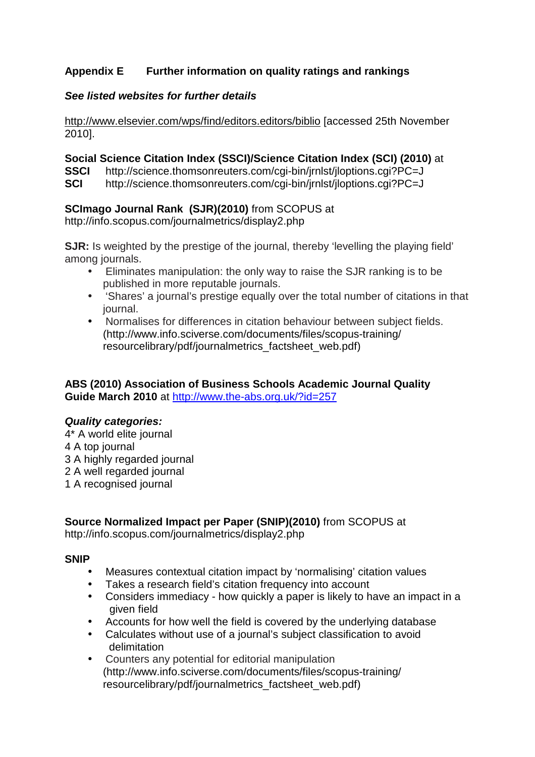## **Appendix E Further information on quality ratings and rankings**

#### **See listed websites for further details**

http://www.elsevier.com/wps/find/editors.editors/biblio [accessed 25th November 2010].

#### **Social Science Citation Index (SSCI)/Science Citation Index (SCI) (2010)** at

**SSCI** http://science.thomsonreuters.com/cgi-bin/jrnlst/jloptions.cgi?PC=J

**SCI** http://science.thomsonreuters.com/cgi-bin/jrnlst/jloptions.cgi?PC=J

## **SCImago Journal Rank (SJR)(2010)** from SCOPUS at

http://info.scopus.com/journalmetrics/display2.php

**SJR:** Is weighted by the prestige of the journal, thereby 'levelling the playing field' among journals.

- Eliminates manipulation: the only way to raise the SJR ranking is to be published in more reputable journals.
- 'Shares' a journal's prestige equally over the total number of citations in that journal.
- Normalises for differences in citation behaviour between subject fields. (http://www.info.sciverse.com/documents/files/scopus-training/ resourcelibrary/pdf/journalmetrics\_factsheet\_web.pdf)

## **ABS (2010) Association of Business Schools Academic Journal Quality Guide March 2010** at http://www.the-abs.org.uk/?id=257

#### **Quality categories:**

4\* A world elite journal 4 A top journal 3 A highly regarded journal 2 A well regarded journal 1 A recognised journal

## **Source Normalized Impact per Paper (SNIP)(2010)** from SCOPUS at

http://info.scopus.com/journalmetrics/display2.php

#### **SNIP**

- Measures contextual citation impact by 'normalising' citation values
- Takes a research field's citation frequency into account
- Considers immediacy how quickly a paper is likely to have an impact in a given field
- Accounts for how well the field is covered by the underlying database
- Calculates without use of a journal's subject classification to avoid delimitation
- Counters any potential for editorial manipulation (http://www.info.sciverse.com/documents/files/scopus-training/ resourcelibrary/pdf/journalmetrics\_factsheet\_web.pdf)